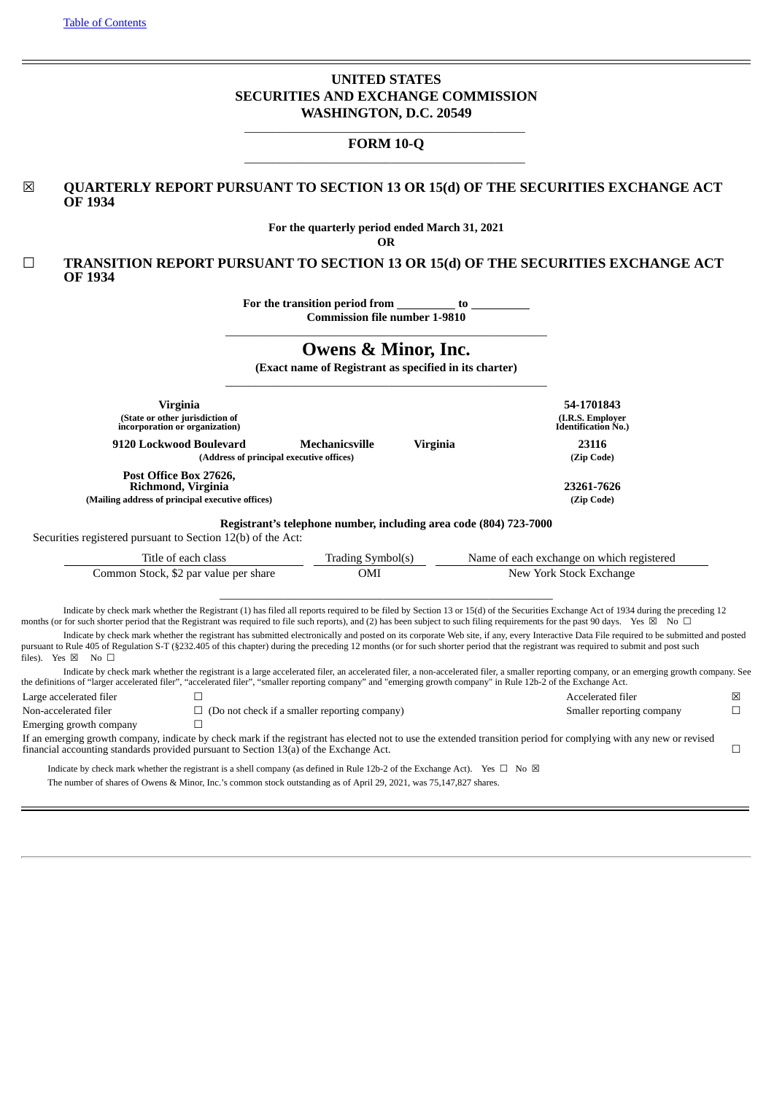# **UNITED STATES SECURITIES AND EXCHANGE COMMISSION WASHINGTON, D.C. 20549**

# \_\_\_\_\_\_\_\_\_\_\_\_\_\_\_\_\_\_\_\_\_\_\_\_\_\_\_\_\_\_\_\_\_\_\_\_\_\_\_\_\_\_\_\_\_\_\_\_ **FORM 10-Q** \_\_\_\_\_\_\_\_\_\_\_\_\_\_\_\_\_\_\_\_\_\_\_\_\_\_\_\_\_\_\_\_\_\_\_\_\_\_\_\_\_\_\_\_\_\_\_\_

# ☒ **QUARTERLY REPORT PURSUANT TO SECTION 13 OR 15(d) OF THE SECURITIES EXCHANGE ACT OF 1934**

**For the quarterly period ended March 31, 2021**

**OR**

# ☐ **TRANSITION REPORT PURSUANT TO SECTION 13 OR 15(d) OF THE SECURITIES EXCHANGE ACT OF 1934**

**For the transition period from to Commission file number 1-9810**

# \_\_\_\_\_\_\_\_\_\_\_\_\_\_\_\_\_\_\_\_\_\_\_\_\_\_\_\_\_\_\_\_\_\_\_\_\_\_\_\_\_\_\_\_\_\_\_\_\_\_\_\_\_\_\_ **Owens & Minor, Inc.**

**(Exact name of Registrant as specified in its charter)**

|                                                                                        | <b>Virginia</b>                                                                                                                            |                                                                   |                 | 54-1701843                                                                                                                                                                                                                                                                                                                                                                            |   |
|----------------------------------------------------------------------------------------|--------------------------------------------------------------------------------------------------------------------------------------------|-------------------------------------------------------------------|-----------------|---------------------------------------------------------------------------------------------------------------------------------------------------------------------------------------------------------------------------------------------------------------------------------------------------------------------------------------------------------------------------------------|---|
|                                                                                        | (State or other jurisdiction of<br>incorporation or organization)                                                                          |                                                                   |                 | (I.R.S. Employer<br>Identification No.)                                                                                                                                                                                                                                                                                                                                               |   |
|                                                                                        | 9120 Lockwood Boulevard                                                                                                                    | <b>Mechanicsville</b>                                             | <b>Virginia</b> | 23116                                                                                                                                                                                                                                                                                                                                                                                 |   |
|                                                                                        | (Address of principal executive offices)                                                                                                   |                                                                   |                 | (Zip Code)                                                                                                                                                                                                                                                                                                                                                                            |   |
|                                                                                        | Post Office Box 27626,<br>Richmond, Virginia<br>(Mailing address of principal executive offices)                                           |                                                                   |                 | 23261-7626<br>(Zip Code)                                                                                                                                                                                                                                                                                                                                                              |   |
|                                                                                        |                                                                                                                                            | Registrant's telephone number, including area code (804) 723-7000 |                 |                                                                                                                                                                                                                                                                                                                                                                                       |   |
| Securities registered pursuant to Section 12(b) of the Act:                            |                                                                                                                                            |                                                                   |                 |                                                                                                                                                                                                                                                                                                                                                                                       |   |
|                                                                                        |                                                                                                                                            |                                                                   |                 |                                                                                                                                                                                                                                                                                                                                                                                       |   |
|                                                                                        | Title of each class                                                                                                                        | Trading Symbol(s)                                                 |                 | Name of each exchange on which registered                                                                                                                                                                                                                                                                                                                                             |   |
|                                                                                        | Common Stock, \$2 par value per share                                                                                                      | OMI                                                               |                 | New York Stock Exchange                                                                                                                                                                                                                                                                                                                                                               |   |
|                                                                                        |                                                                                                                                            |                                                                   |                 |                                                                                                                                                                                                                                                                                                                                                                                       |   |
|                                                                                        |                                                                                                                                            |                                                                   |                 | Indicate by check mark whether the Registrant (1) has filed all reports required to be filed by Section 13 or 15(d) of the Securities Exchange Act of 1934 during the preceding 12<br>months (or for such shorter period that the Registrant was required to file such reports), and (2) has been subject to such filing requirements for the past 90 days. Yes $\boxtimes$ No $\Box$ |   |
| files). Yes ⊠ No □                                                                     |                                                                                                                                            |                                                                   |                 | Indicate by check mark whether the registrant has submitted electronically and posted on its corporate Web site, if any, every Interactive Data File required to be submitted and posted<br>pursuant to Rule 405 of Regulation S-T (§232.405 of this chapter) during the preceding 12 months (or for such shorter period that the registrant was required to submit and post such     |   |
|                                                                                        |                                                                                                                                            |                                                                   |                 | Indicate by check mark whether the registrant is a large accelerated filer, an accelerated filer, a non-accelerated filer, a smaller reporting company, or an emerging growth company. See<br>the definitions of "larger accelerated filer", "accelerated filer", "smaller reporting company" and "emerging growth company" in Rule 12b-2 of the Exchange Act.                        |   |
| Large accelerated filer                                                                |                                                                                                                                            |                                                                   |                 | Accelerated filer                                                                                                                                                                                                                                                                                                                                                                     | ⊠ |
| Non-accelerated filer                                                                  |                                                                                                                                            | $\Box$ (Do not check if a smaller reporting company)              |                 | Smaller reporting company                                                                                                                                                                                                                                                                                                                                                             | □ |
| Emerging growth company                                                                | П                                                                                                                                          |                                                                   |                 |                                                                                                                                                                                                                                                                                                                                                                                       |   |
| financial accounting standards provided pursuant to Section 13(a) of the Exchange Act. |                                                                                                                                            |                                                                   |                 | If an emerging growth company, indicate by check mark if the registrant has elected not to use the extended transition period for complying with any new or revised                                                                                                                                                                                                                   | □ |
|                                                                                        | Indicate by check mark whether the registrant is a shell company (as defined in Rule 12b-2 of the Exchange Act). Yes $\Box$ No $\boxtimes$ |                                                                   |                 |                                                                                                                                                                                                                                                                                                                                                                                       |   |
|                                                                                        | The number of charge of Orions, $9. M_{\text{max}}$ Ing is common stock outstanding as of April 20, 2021, vise $75, 147, 927$ charge       |                                                                   |                 |                                                                                                                                                                                                                                                                                                                                                                                       |   |

<span id="page-0-0"></span>The number of shares of Owens & Minor, Inc.'s common stock outstanding as of April 29, 2021, was 75,147,827 shares.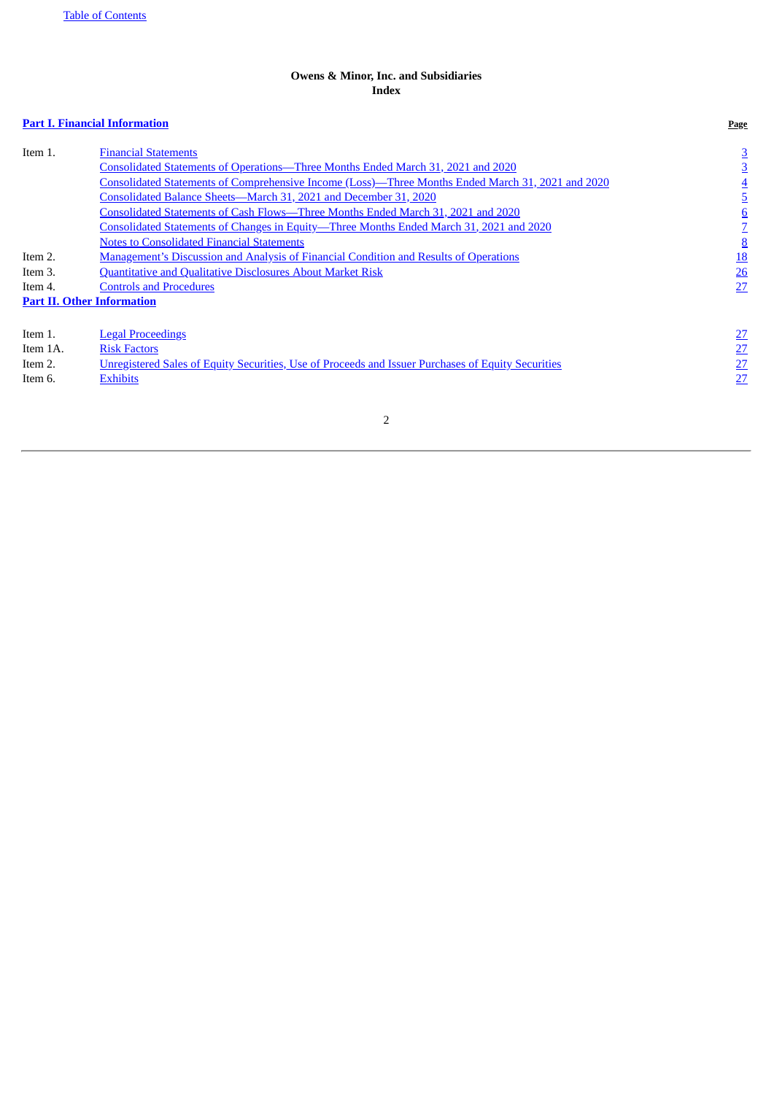# **Owens & Minor, Inc. and Subsidiaries Index**

# **Part I. Financial [Information](#page-1-0) Page**

<span id="page-1-0"></span>

| Item 1.                           | <b>Financial Statements</b>                                                                               | <u>3</u>  |
|-----------------------------------|-----------------------------------------------------------------------------------------------------------|-----------|
|                                   | Consolidated Statements of Operations—Three Months Ended March 31, 2021 and 2020                          |           |
|                                   | <b>Consolidated Statements of Comprehensive Income (Loss)—Three Months Ended March 31, 2021 and 2020</b>  | 4         |
|                                   | Consolidated Balance Sheets-March 31, 2021 and December 31, 2020                                          |           |
|                                   | <b>Consolidated Statements of Cash Flows—Three Months Ended March 31, 2021 and 2020</b>                   | 6         |
|                                   | Consolidated Statements of Changes in Equity-Three Months Ended March 31, 2021 and 2020                   |           |
|                                   | <b>Notes to Consolidated Financial Statements</b>                                                         | 8         |
| Item 2.                           | <b>Management's Discussion and Analysis of Financial Condition and Results of Operations</b>              | <u>18</u> |
| Item 3.                           | <b>Quantitative and Qualitative Disclosures About Market Risk</b>                                         | 26        |
| Item 4.                           | <b>Controls and Procedures</b>                                                                            | 27        |
| <b>Part II. Other Information</b> |                                                                                                           |           |
|                                   |                                                                                                           |           |
| Item 1.                           | <b>Legal Proceedings</b>                                                                                  | 27        |
| Item 1A.                          | <b>Risk Factors</b>                                                                                       | 27        |
| Item 2.                           | <b>Unregistered Sales of Equity Securities, Use of Proceeds and Issuer Purchases of Equity Securities</b> | 27        |
| Item 6.                           | <b>Exhibits</b>                                                                                           | 27        |
|                                   |                                                                                                           |           |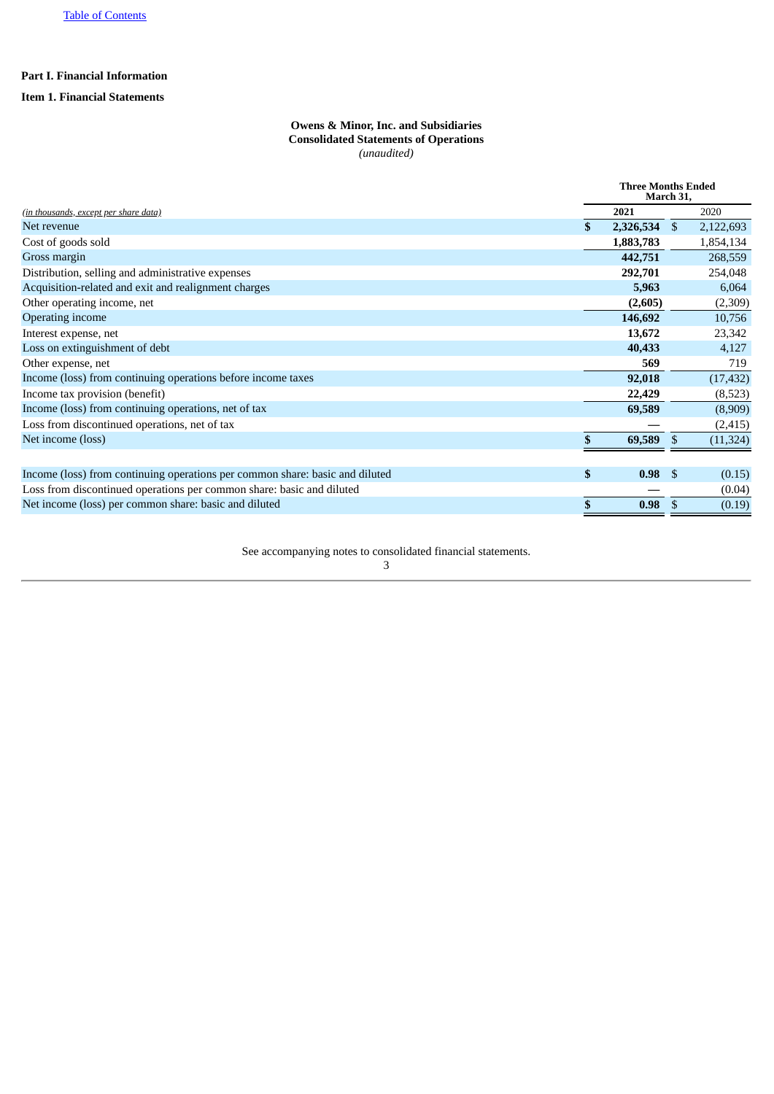# **Part I. Financial Information**

# <span id="page-2-1"></span><span id="page-2-0"></span>**Item 1. Financial Statements**

# **Owens & Minor, Inc. and Subsidiaries Consolidated Statements of Operations** *(unaudited)*

|                                                                              |              | <b>Three Months Ended</b><br>March 31, |              |           |  |
|------------------------------------------------------------------------------|--------------|----------------------------------------|--------------|-----------|--|
| (in thousands, except per share data)                                        |              | 2021                                   |              | 2020      |  |
| Net revenue                                                                  | $\mathbf{s}$ | 2,326,534                              | $\mathbb{S}$ | 2,122,693 |  |
| Cost of goods sold                                                           |              | 1,883,783                              |              | 1,854,134 |  |
| Gross margin                                                                 |              | 442,751                                |              | 268,559   |  |
| Distribution, selling and administrative expenses                            |              | 292,701                                |              | 254,048   |  |
| Acquisition-related and exit and realignment charges                         |              | 5,963                                  |              | 6,064     |  |
| Other operating income, net                                                  |              | (2,605)                                |              | (2,309)   |  |
| Operating income                                                             |              | 146,692                                |              | 10,756    |  |
| Interest expense, net                                                        |              | 13,672                                 |              | 23,342    |  |
| Loss on extinguishment of debt                                               |              | 40,433                                 |              | 4,127     |  |
| Other expense, net                                                           |              | 569                                    |              | 719       |  |
| Income (loss) from continuing operations before income taxes                 |              | 92,018                                 |              | (17, 432) |  |
| Income tax provision (benefit)                                               |              | 22,429                                 |              | (8,523)   |  |
| Income (loss) from continuing operations, net of tax                         |              | 69,589                                 |              | (8,909)   |  |
| Loss from discontinued operations, net of tax                                |              |                                        |              | (2, 415)  |  |
| Net income (loss)                                                            | \$           | 69,589                                 | \$.          | (11, 324) |  |
|                                                                              |              |                                        |              |           |  |
| Income (loss) from continuing operations per common share: basic and diluted | \$           | 0.98 <sup>5</sup>                      |              | (0.15)    |  |
| Loss from discontinued operations per common share: basic and diluted        |              |                                        |              | (0.04)    |  |
| Net income (loss) per common share: basic and diluted                        | \$           | 0.98                                   | S            | (0.19)    |  |

<span id="page-2-2"></span>See accompanying notes to consolidated financial statements.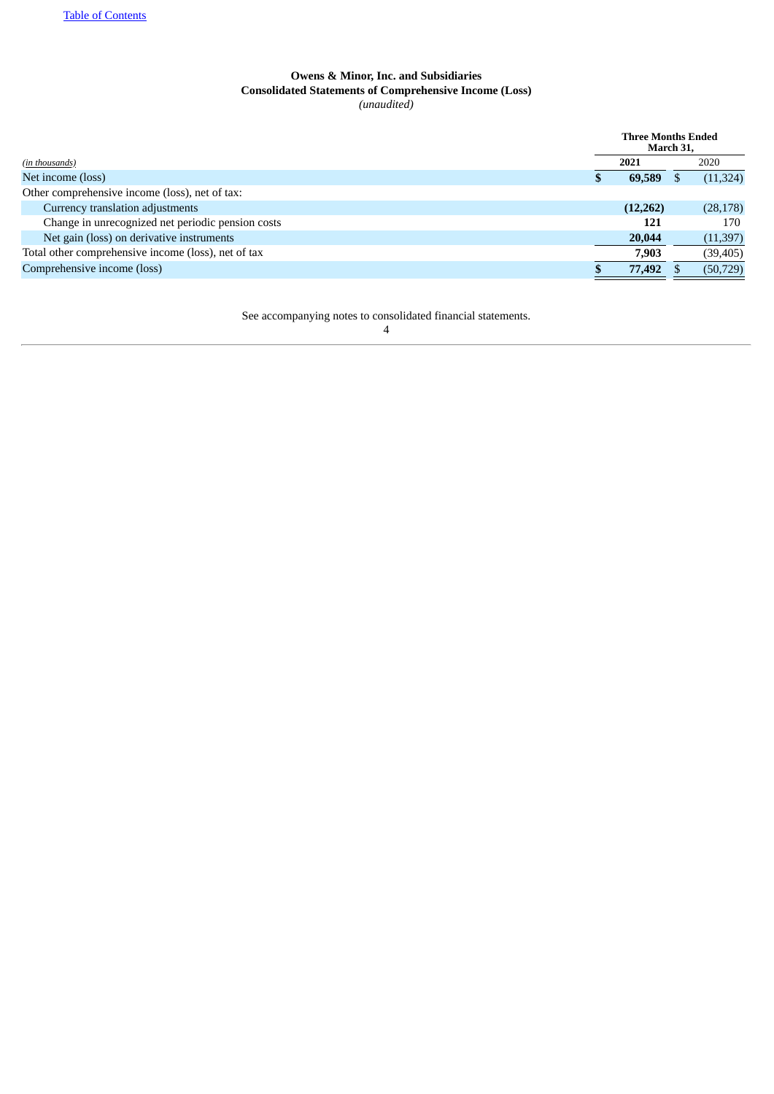# **Owens & Minor, Inc. and Subsidiaries Consolidated Statements of Comprehensive Income (Loss)** *(unaudited)*

<span id="page-3-0"></span>

|                                                     | <b>Three Months Ended</b><br>March 31. |          |  |           |
|-----------------------------------------------------|----------------------------------------|----------|--|-----------|
| (in thousands)                                      |                                        | 2021     |  | 2020      |
| Net income (loss)                                   |                                        | 69,589   |  | (11, 324) |
| Other comprehensive income (loss), net of tax:      |                                        |          |  |           |
| Currency translation adjustments                    |                                        | (12,262) |  | (28, 178) |
| Change in unrecognized net periodic pension costs   |                                        | 121      |  | 170       |
| Net gain (loss) on derivative instruments           |                                        | 20,044   |  | (11, 397) |
| Total other comprehensive income (loss), net of tax |                                        | 7,903    |  | (39, 405) |
| Comprehensive income (loss)                         |                                        | 77,492   |  | (50, 729) |

See accompanying notes to consolidated financial statements.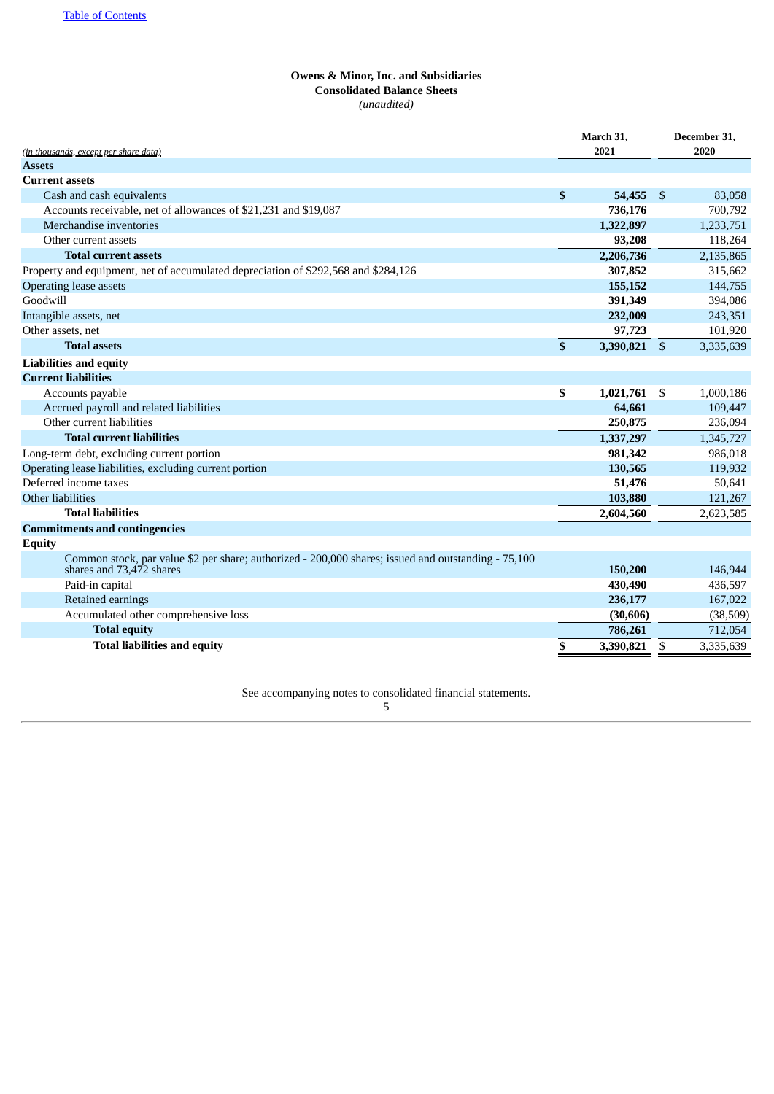# **Owens & Minor, Inc. and Subsidiaries Consolidated Balance Sheets** *(unaudited)*

|                                                                                                                                   | March 31,       |      | December 31, |
|-----------------------------------------------------------------------------------------------------------------------------------|-----------------|------|--------------|
| (in thousands, except per share data)                                                                                             | 2021            |      | 2020         |
| <b>Assets</b>                                                                                                                     |                 |      |              |
| <b>Current assets</b>                                                                                                             |                 |      |              |
| Cash and cash equivalents                                                                                                         | \$<br>54,455    | \$   | 83,058       |
| Accounts receivable, net of allowances of \$21,231 and \$19,087                                                                   | 736,176         |      | 700,792      |
| Merchandise inventories                                                                                                           | 1,322,897       |      | 1,233,751    |
| Other current assets                                                                                                              | 93,208          |      | 118,264      |
| <b>Total current assets</b>                                                                                                       | 2,206,736       |      | 2,135,865    |
| Property and equipment, net of accumulated depreciation of \$292,568 and \$284,126                                                | 307,852         |      | 315,662      |
| <b>Operating lease assets</b>                                                                                                     | 155,152         |      | 144,755      |
| Goodwill                                                                                                                          | 391,349         |      | 394,086      |
| Intangible assets, net                                                                                                            | 232,009         |      | 243,351      |
| Other assets, net                                                                                                                 | 97,723          |      | 101,920      |
| <b>Total assets</b>                                                                                                               | \$<br>3,390,821 | \$   | 3,335,639    |
| <b>Liabilities and equity</b>                                                                                                     |                 |      |              |
| <b>Current liabilities</b>                                                                                                        |                 |      |              |
| Accounts payable                                                                                                                  | \$<br>1,021,761 | - \$ | 1,000,186    |
| Accrued payroll and related liabilities                                                                                           | 64,661          |      | 109,447      |
| Other current liabilities                                                                                                         | 250,875         |      | 236,094      |
| <b>Total current liabilities</b>                                                                                                  | 1,337,297       |      | 1,345,727    |
| Long-term debt, excluding current portion                                                                                         | 981,342         |      | 986,018      |
| Operating lease liabilities, excluding current portion                                                                            | 130,565         |      | 119,932      |
| Deferred income taxes                                                                                                             | 51,476          |      | 50,641       |
| Other liabilities                                                                                                                 | 103,880         |      | 121,267      |
| <b>Total liabilities</b>                                                                                                          | 2,604,560       |      | 2,623,585    |
| <b>Commitments and contingencies</b>                                                                                              |                 |      |              |
| <b>Equity</b>                                                                                                                     |                 |      |              |
| Common stock, par value \$2 per share; authorized - 200,000 shares; issued and outstanding - 75,100<br>shares and $73,472$ shares | 150,200         |      | 146,944      |
| Paid-in capital                                                                                                                   | 430,490         |      | 436,597      |
| Retained earnings                                                                                                                 | 236,177         |      | 167,022      |
| Accumulated other comprehensive loss                                                                                              | (30,606)        |      | (38,509)     |
| <b>Total equity</b>                                                                                                               | 786,261         |      | 712,054      |
| <b>Total liabilities and equity</b>                                                                                               | \$<br>3,390,821 | \$   | 3,335,639    |

<span id="page-4-0"></span>See accompanying notes to consolidated financial statements.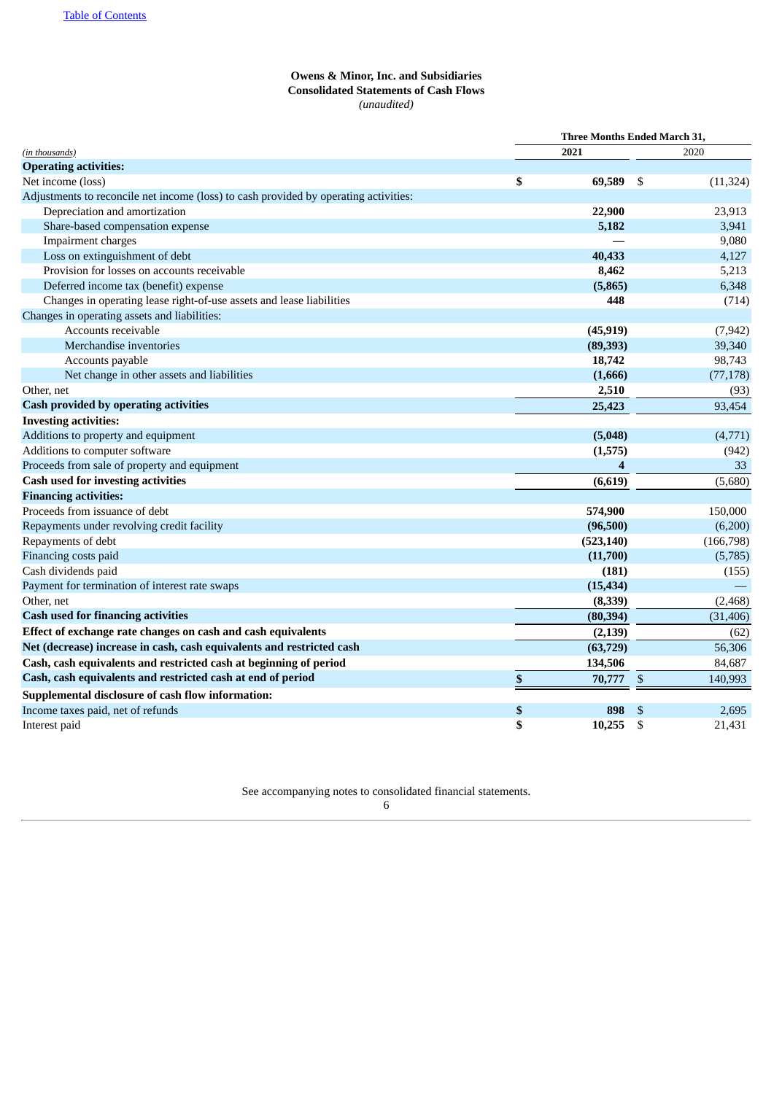# **Owens & Minor, Inc. and Subsidiaries Consolidated Statements of Cash Flows** *(unaudited)*

| 2021<br>2020<br>(in thousands)<br><b>Operating activities:</b><br>Net income (loss)<br>\$<br>69,589<br>\$<br>(11, 324)<br>Adjustments to reconcile net income (loss) to cash provided by operating activities:<br>Depreciation and amortization<br>22,900<br>23,913<br>Share-based compensation expense<br>5,182<br>3,941<br>Impairment charges<br>9,080<br>Loss on extinguishment of debt<br>40,433<br>4,127<br>Provision for losses on accounts receivable<br>8,462<br>5,213<br>Deferred income tax (benefit) expense<br>(5,865)<br>6,348<br>Changes in operating lease right-of-use assets and lease liabilities<br>448<br>(714)<br>Changes in operating assets and liabilities:<br>Accounts receivable<br>(45, 919)<br>(7, 942)<br>39,340<br>Merchandise inventories<br>(89, 393)<br>98,743<br>Accounts payable<br>18,742<br>(77, 178)<br>Net change in other assets and liabilities<br>(1,666)<br>2,510<br>Other, net<br>(93)<br><b>Cash provided by operating activities</b><br>25,423<br>93,454<br><b>Investing activities:</b><br>Additions to property and equipment<br>(5,048)<br>(4,771)<br>Additions to computer software<br>(1, 575)<br>(942)<br>Proceeds from sale of property and equipment<br>$\overline{\mathbf{4}}$<br>33<br><b>Cash used for investing activities</b><br>(5,680)<br>(6,619)<br><b>Financing activities:</b><br>Proceeds from issuance of debt<br>574,900<br>150,000<br>(96,500)<br>(6,200)<br>Repayments under revolving credit facility<br>Repayments of debt<br>(166, 798)<br>(523, 140)<br>Financing costs paid<br>(11,700)<br>(5,785)<br>Cash dividends paid<br>(155)<br>(181)<br>Payment for termination of interest rate swaps<br>(15, 434)<br>Other, net<br>(8, 339)<br>(2,468)<br><b>Cash used for financing activities</b><br>(31, 406)<br>(80, 394)<br>Effect of exchange rate changes on cash and cash equivalents<br>(2, 139)<br>(62)<br>Net (decrease) increase in cash, cash equivalents and restricted cash<br>(63, 729)<br>56,306<br>Cash, cash equivalents and restricted cash at beginning of period<br>134,506<br>84,687<br>Cash, cash equivalents and restricted cash at end of period<br>\$<br>\$<br>140,993<br>70,777<br>Supplemental disclosure of cash flow information:<br>Income taxes paid, net of refunds<br>\$<br>898<br>\$<br>2,695<br>\$<br>\$<br>10,255<br>Interest paid<br>21,431 | <b>Three Months Ended March 31,</b> |  |  |  |  |  |  |  |
|-------------------------------------------------------------------------------------------------------------------------------------------------------------------------------------------------------------------------------------------------------------------------------------------------------------------------------------------------------------------------------------------------------------------------------------------------------------------------------------------------------------------------------------------------------------------------------------------------------------------------------------------------------------------------------------------------------------------------------------------------------------------------------------------------------------------------------------------------------------------------------------------------------------------------------------------------------------------------------------------------------------------------------------------------------------------------------------------------------------------------------------------------------------------------------------------------------------------------------------------------------------------------------------------------------------------------------------------------------------------------------------------------------------------------------------------------------------------------------------------------------------------------------------------------------------------------------------------------------------------------------------------------------------------------------------------------------------------------------------------------------------------------------------------------------------------------------------------------------------------------------------------------------------------------------------------------------------------------------------------------------------------------------------------------------------------------------------------------------------------------------------------------------------------------------------------------------------------------------------------------------------------------------------------------------------------------------------------------------|-------------------------------------|--|--|--|--|--|--|--|
|                                                                                                                                                                                                                                                                                                                                                                                                                                                                                                                                                                                                                                                                                                                                                                                                                                                                                                                                                                                                                                                                                                                                                                                                                                                                                                                                                                                                                                                                                                                                                                                                                                                                                                                                                                                                                                                                                                                                                                                                                                                                                                                                                                                                                                                                                                                                                       |                                     |  |  |  |  |  |  |  |
|                                                                                                                                                                                                                                                                                                                                                                                                                                                                                                                                                                                                                                                                                                                                                                                                                                                                                                                                                                                                                                                                                                                                                                                                                                                                                                                                                                                                                                                                                                                                                                                                                                                                                                                                                                                                                                                                                                                                                                                                                                                                                                                                                                                                                                                                                                                                                       |                                     |  |  |  |  |  |  |  |
|                                                                                                                                                                                                                                                                                                                                                                                                                                                                                                                                                                                                                                                                                                                                                                                                                                                                                                                                                                                                                                                                                                                                                                                                                                                                                                                                                                                                                                                                                                                                                                                                                                                                                                                                                                                                                                                                                                                                                                                                                                                                                                                                                                                                                                                                                                                                                       |                                     |  |  |  |  |  |  |  |
|                                                                                                                                                                                                                                                                                                                                                                                                                                                                                                                                                                                                                                                                                                                                                                                                                                                                                                                                                                                                                                                                                                                                                                                                                                                                                                                                                                                                                                                                                                                                                                                                                                                                                                                                                                                                                                                                                                                                                                                                                                                                                                                                                                                                                                                                                                                                                       |                                     |  |  |  |  |  |  |  |
|                                                                                                                                                                                                                                                                                                                                                                                                                                                                                                                                                                                                                                                                                                                                                                                                                                                                                                                                                                                                                                                                                                                                                                                                                                                                                                                                                                                                                                                                                                                                                                                                                                                                                                                                                                                                                                                                                                                                                                                                                                                                                                                                                                                                                                                                                                                                                       |                                     |  |  |  |  |  |  |  |
|                                                                                                                                                                                                                                                                                                                                                                                                                                                                                                                                                                                                                                                                                                                                                                                                                                                                                                                                                                                                                                                                                                                                                                                                                                                                                                                                                                                                                                                                                                                                                                                                                                                                                                                                                                                                                                                                                                                                                                                                                                                                                                                                                                                                                                                                                                                                                       |                                     |  |  |  |  |  |  |  |
|                                                                                                                                                                                                                                                                                                                                                                                                                                                                                                                                                                                                                                                                                                                                                                                                                                                                                                                                                                                                                                                                                                                                                                                                                                                                                                                                                                                                                                                                                                                                                                                                                                                                                                                                                                                                                                                                                                                                                                                                                                                                                                                                                                                                                                                                                                                                                       |                                     |  |  |  |  |  |  |  |
|                                                                                                                                                                                                                                                                                                                                                                                                                                                                                                                                                                                                                                                                                                                                                                                                                                                                                                                                                                                                                                                                                                                                                                                                                                                                                                                                                                                                                                                                                                                                                                                                                                                                                                                                                                                                                                                                                                                                                                                                                                                                                                                                                                                                                                                                                                                                                       |                                     |  |  |  |  |  |  |  |
|                                                                                                                                                                                                                                                                                                                                                                                                                                                                                                                                                                                                                                                                                                                                                                                                                                                                                                                                                                                                                                                                                                                                                                                                                                                                                                                                                                                                                                                                                                                                                                                                                                                                                                                                                                                                                                                                                                                                                                                                                                                                                                                                                                                                                                                                                                                                                       |                                     |  |  |  |  |  |  |  |
|                                                                                                                                                                                                                                                                                                                                                                                                                                                                                                                                                                                                                                                                                                                                                                                                                                                                                                                                                                                                                                                                                                                                                                                                                                                                                                                                                                                                                                                                                                                                                                                                                                                                                                                                                                                                                                                                                                                                                                                                                                                                                                                                                                                                                                                                                                                                                       |                                     |  |  |  |  |  |  |  |
|                                                                                                                                                                                                                                                                                                                                                                                                                                                                                                                                                                                                                                                                                                                                                                                                                                                                                                                                                                                                                                                                                                                                                                                                                                                                                                                                                                                                                                                                                                                                                                                                                                                                                                                                                                                                                                                                                                                                                                                                                                                                                                                                                                                                                                                                                                                                                       |                                     |  |  |  |  |  |  |  |
|                                                                                                                                                                                                                                                                                                                                                                                                                                                                                                                                                                                                                                                                                                                                                                                                                                                                                                                                                                                                                                                                                                                                                                                                                                                                                                                                                                                                                                                                                                                                                                                                                                                                                                                                                                                                                                                                                                                                                                                                                                                                                                                                                                                                                                                                                                                                                       |                                     |  |  |  |  |  |  |  |
|                                                                                                                                                                                                                                                                                                                                                                                                                                                                                                                                                                                                                                                                                                                                                                                                                                                                                                                                                                                                                                                                                                                                                                                                                                                                                                                                                                                                                                                                                                                                                                                                                                                                                                                                                                                                                                                                                                                                                                                                                                                                                                                                                                                                                                                                                                                                                       |                                     |  |  |  |  |  |  |  |
|                                                                                                                                                                                                                                                                                                                                                                                                                                                                                                                                                                                                                                                                                                                                                                                                                                                                                                                                                                                                                                                                                                                                                                                                                                                                                                                                                                                                                                                                                                                                                                                                                                                                                                                                                                                                                                                                                                                                                                                                                                                                                                                                                                                                                                                                                                                                                       |                                     |  |  |  |  |  |  |  |
|                                                                                                                                                                                                                                                                                                                                                                                                                                                                                                                                                                                                                                                                                                                                                                                                                                                                                                                                                                                                                                                                                                                                                                                                                                                                                                                                                                                                                                                                                                                                                                                                                                                                                                                                                                                                                                                                                                                                                                                                                                                                                                                                                                                                                                                                                                                                                       |                                     |  |  |  |  |  |  |  |
|                                                                                                                                                                                                                                                                                                                                                                                                                                                                                                                                                                                                                                                                                                                                                                                                                                                                                                                                                                                                                                                                                                                                                                                                                                                                                                                                                                                                                                                                                                                                                                                                                                                                                                                                                                                                                                                                                                                                                                                                                                                                                                                                                                                                                                                                                                                                                       |                                     |  |  |  |  |  |  |  |
|                                                                                                                                                                                                                                                                                                                                                                                                                                                                                                                                                                                                                                                                                                                                                                                                                                                                                                                                                                                                                                                                                                                                                                                                                                                                                                                                                                                                                                                                                                                                                                                                                                                                                                                                                                                                                                                                                                                                                                                                                                                                                                                                                                                                                                                                                                                                                       |                                     |  |  |  |  |  |  |  |
|                                                                                                                                                                                                                                                                                                                                                                                                                                                                                                                                                                                                                                                                                                                                                                                                                                                                                                                                                                                                                                                                                                                                                                                                                                                                                                                                                                                                                                                                                                                                                                                                                                                                                                                                                                                                                                                                                                                                                                                                                                                                                                                                                                                                                                                                                                                                                       |                                     |  |  |  |  |  |  |  |
|                                                                                                                                                                                                                                                                                                                                                                                                                                                                                                                                                                                                                                                                                                                                                                                                                                                                                                                                                                                                                                                                                                                                                                                                                                                                                                                                                                                                                                                                                                                                                                                                                                                                                                                                                                                                                                                                                                                                                                                                                                                                                                                                                                                                                                                                                                                                                       |                                     |  |  |  |  |  |  |  |
|                                                                                                                                                                                                                                                                                                                                                                                                                                                                                                                                                                                                                                                                                                                                                                                                                                                                                                                                                                                                                                                                                                                                                                                                                                                                                                                                                                                                                                                                                                                                                                                                                                                                                                                                                                                                                                                                                                                                                                                                                                                                                                                                                                                                                                                                                                                                                       |                                     |  |  |  |  |  |  |  |
|                                                                                                                                                                                                                                                                                                                                                                                                                                                                                                                                                                                                                                                                                                                                                                                                                                                                                                                                                                                                                                                                                                                                                                                                                                                                                                                                                                                                                                                                                                                                                                                                                                                                                                                                                                                                                                                                                                                                                                                                                                                                                                                                                                                                                                                                                                                                                       |                                     |  |  |  |  |  |  |  |
|                                                                                                                                                                                                                                                                                                                                                                                                                                                                                                                                                                                                                                                                                                                                                                                                                                                                                                                                                                                                                                                                                                                                                                                                                                                                                                                                                                                                                                                                                                                                                                                                                                                                                                                                                                                                                                                                                                                                                                                                                                                                                                                                                                                                                                                                                                                                                       |                                     |  |  |  |  |  |  |  |
|                                                                                                                                                                                                                                                                                                                                                                                                                                                                                                                                                                                                                                                                                                                                                                                                                                                                                                                                                                                                                                                                                                                                                                                                                                                                                                                                                                                                                                                                                                                                                                                                                                                                                                                                                                                                                                                                                                                                                                                                                                                                                                                                                                                                                                                                                                                                                       |                                     |  |  |  |  |  |  |  |
|                                                                                                                                                                                                                                                                                                                                                                                                                                                                                                                                                                                                                                                                                                                                                                                                                                                                                                                                                                                                                                                                                                                                                                                                                                                                                                                                                                                                                                                                                                                                                                                                                                                                                                                                                                                                                                                                                                                                                                                                                                                                                                                                                                                                                                                                                                                                                       |                                     |  |  |  |  |  |  |  |
|                                                                                                                                                                                                                                                                                                                                                                                                                                                                                                                                                                                                                                                                                                                                                                                                                                                                                                                                                                                                                                                                                                                                                                                                                                                                                                                                                                                                                                                                                                                                                                                                                                                                                                                                                                                                                                                                                                                                                                                                                                                                                                                                                                                                                                                                                                                                                       |                                     |  |  |  |  |  |  |  |
|                                                                                                                                                                                                                                                                                                                                                                                                                                                                                                                                                                                                                                                                                                                                                                                                                                                                                                                                                                                                                                                                                                                                                                                                                                                                                                                                                                                                                                                                                                                                                                                                                                                                                                                                                                                                                                                                                                                                                                                                                                                                                                                                                                                                                                                                                                                                                       |                                     |  |  |  |  |  |  |  |
|                                                                                                                                                                                                                                                                                                                                                                                                                                                                                                                                                                                                                                                                                                                                                                                                                                                                                                                                                                                                                                                                                                                                                                                                                                                                                                                                                                                                                                                                                                                                                                                                                                                                                                                                                                                                                                                                                                                                                                                                                                                                                                                                                                                                                                                                                                                                                       |                                     |  |  |  |  |  |  |  |
|                                                                                                                                                                                                                                                                                                                                                                                                                                                                                                                                                                                                                                                                                                                                                                                                                                                                                                                                                                                                                                                                                                                                                                                                                                                                                                                                                                                                                                                                                                                                                                                                                                                                                                                                                                                                                                                                                                                                                                                                                                                                                                                                                                                                                                                                                                                                                       |                                     |  |  |  |  |  |  |  |
|                                                                                                                                                                                                                                                                                                                                                                                                                                                                                                                                                                                                                                                                                                                                                                                                                                                                                                                                                                                                                                                                                                                                                                                                                                                                                                                                                                                                                                                                                                                                                                                                                                                                                                                                                                                                                                                                                                                                                                                                                                                                                                                                                                                                                                                                                                                                                       |                                     |  |  |  |  |  |  |  |
|                                                                                                                                                                                                                                                                                                                                                                                                                                                                                                                                                                                                                                                                                                                                                                                                                                                                                                                                                                                                                                                                                                                                                                                                                                                                                                                                                                                                                                                                                                                                                                                                                                                                                                                                                                                                                                                                                                                                                                                                                                                                                                                                                                                                                                                                                                                                                       |                                     |  |  |  |  |  |  |  |
|                                                                                                                                                                                                                                                                                                                                                                                                                                                                                                                                                                                                                                                                                                                                                                                                                                                                                                                                                                                                                                                                                                                                                                                                                                                                                                                                                                                                                                                                                                                                                                                                                                                                                                                                                                                                                                                                                                                                                                                                                                                                                                                                                                                                                                                                                                                                                       |                                     |  |  |  |  |  |  |  |
|                                                                                                                                                                                                                                                                                                                                                                                                                                                                                                                                                                                                                                                                                                                                                                                                                                                                                                                                                                                                                                                                                                                                                                                                                                                                                                                                                                                                                                                                                                                                                                                                                                                                                                                                                                                                                                                                                                                                                                                                                                                                                                                                                                                                                                                                                                                                                       |                                     |  |  |  |  |  |  |  |
|                                                                                                                                                                                                                                                                                                                                                                                                                                                                                                                                                                                                                                                                                                                                                                                                                                                                                                                                                                                                                                                                                                                                                                                                                                                                                                                                                                                                                                                                                                                                                                                                                                                                                                                                                                                                                                                                                                                                                                                                                                                                                                                                                                                                                                                                                                                                                       |                                     |  |  |  |  |  |  |  |
|                                                                                                                                                                                                                                                                                                                                                                                                                                                                                                                                                                                                                                                                                                                                                                                                                                                                                                                                                                                                                                                                                                                                                                                                                                                                                                                                                                                                                                                                                                                                                                                                                                                                                                                                                                                                                                                                                                                                                                                                                                                                                                                                                                                                                                                                                                                                                       |                                     |  |  |  |  |  |  |  |
|                                                                                                                                                                                                                                                                                                                                                                                                                                                                                                                                                                                                                                                                                                                                                                                                                                                                                                                                                                                                                                                                                                                                                                                                                                                                                                                                                                                                                                                                                                                                                                                                                                                                                                                                                                                                                                                                                                                                                                                                                                                                                                                                                                                                                                                                                                                                                       |                                     |  |  |  |  |  |  |  |
|                                                                                                                                                                                                                                                                                                                                                                                                                                                                                                                                                                                                                                                                                                                                                                                                                                                                                                                                                                                                                                                                                                                                                                                                                                                                                                                                                                                                                                                                                                                                                                                                                                                                                                                                                                                                                                                                                                                                                                                                                                                                                                                                                                                                                                                                                                                                                       |                                     |  |  |  |  |  |  |  |
|                                                                                                                                                                                                                                                                                                                                                                                                                                                                                                                                                                                                                                                                                                                                                                                                                                                                                                                                                                                                                                                                                                                                                                                                                                                                                                                                                                                                                                                                                                                                                                                                                                                                                                                                                                                                                                                                                                                                                                                                                                                                                                                                                                                                                                                                                                                                                       |                                     |  |  |  |  |  |  |  |
|                                                                                                                                                                                                                                                                                                                                                                                                                                                                                                                                                                                                                                                                                                                                                                                                                                                                                                                                                                                                                                                                                                                                                                                                                                                                                                                                                                                                                                                                                                                                                                                                                                                                                                                                                                                                                                                                                                                                                                                                                                                                                                                                                                                                                                                                                                                                                       |                                     |  |  |  |  |  |  |  |
|                                                                                                                                                                                                                                                                                                                                                                                                                                                                                                                                                                                                                                                                                                                                                                                                                                                                                                                                                                                                                                                                                                                                                                                                                                                                                                                                                                                                                                                                                                                                                                                                                                                                                                                                                                                                                                                                                                                                                                                                                                                                                                                                                                                                                                                                                                                                                       |                                     |  |  |  |  |  |  |  |

<span id="page-5-0"></span>See accompanying notes to consolidated financial statements.

 $-6$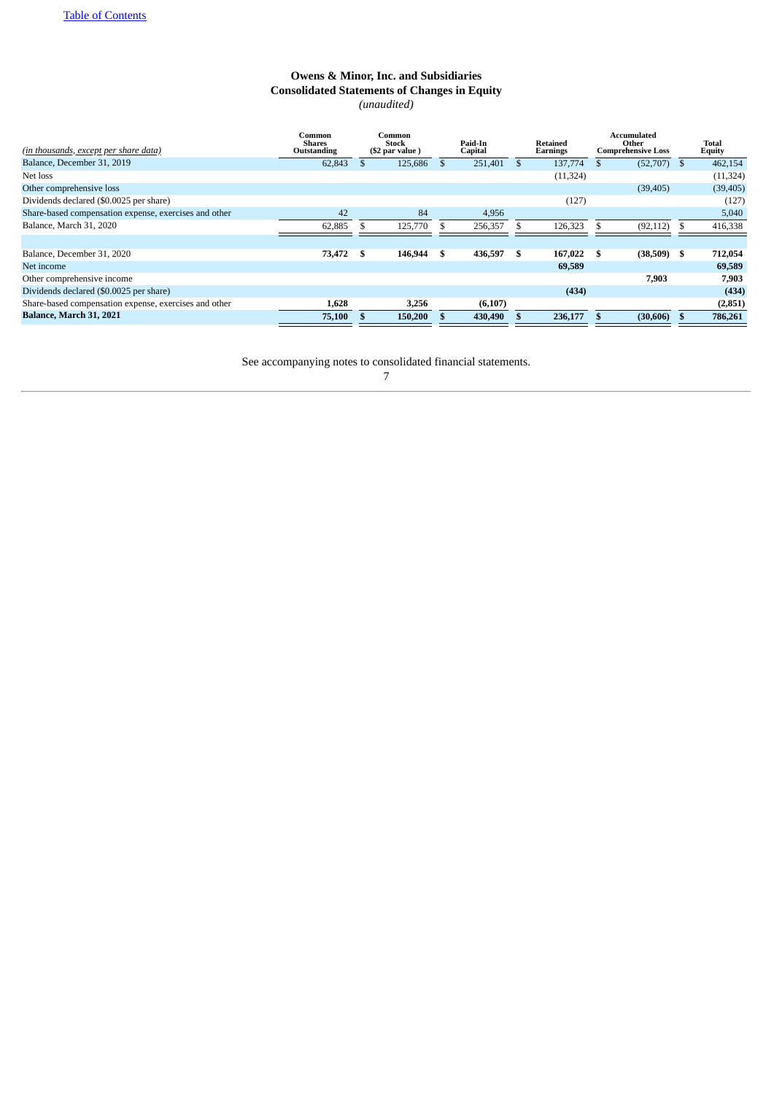# **Owens & Minor, Inc. and Subsidiaries Consolidated Statements of Changes in Equity** *(unaudited)*

| (in thousands, except per share data)                 | Common<br><b>Shares</b><br>Outstanding |    | Common<br><b>Stock</b><br>(\$2 par value) |     | Paid-In<br>Capital |               | <b>Retained</b><br><b>Earnings</b> |      | Accumulated<br>Other<br><b>Comprehensive Loss</b> |      | Total<br>Equity |
|-------------------------------------------------------|----------------------------------------|----|-------------------------------------------|-----|--------------------|---------------|------------------------------------|------|---------------------------------------------------|------|-----------------|
| Balance, December 31, 2019                            | 62,843                                 | л  | 125,686                                   | \$. | 251,401            | \$.           | 137,774                            |      | $(52,707)$ \$                                     |      | 462,154         |
| Net loss                                              |                                        |    |                                           |     |                    |               | (11, 324)                          |      |                                                   |      | (11, 324)       |
| Other comprehensive loss                              |                                        |    |                                           |     |                    |               |                                    |      | (39, 405)                                         |      | (39, 405)       |
| Dividends declared (\$0.0025 per share)               |                                        |    |                                           |     |                    |               | (127)                              |      |                                                   |      | (127)           |
| Share-based compensation expense, exercises and other | 42                                     |    | 84                                        |     | 4,956              |               |                                    |      |                                                   |      | 5,040           |
| Balance, March 31, 2020                               | 62,885                                 |    | 125,770                                   |     | 256,357            | $\mathcal{P}$ | 126,323                            |      | (92, 112)                                         |      | 416,338         |
|                                                       |                                        |    |                                           |     |                    |               |                                    |      |                                                   |      |                 |
| Balance, December 31, 2020                            | 73,472                                 | £. | 146,944                                   | \$. | 436,597            | ÷\$           | 167,022                            | - \$ | (38,509)                                          | - \$ | 712,054         |
| Net income                                            |                                        |    |                                           |     |                    |               | 69,589                             |      |                                                   |      | 69,589          |
| Other comprehensive income                            |                                        |    |                                           |     |                    |               |                                    |      | 7,903                                             |      | 7,903           |
| Dividends declared (\$0.0025 per share)               |                                        |    |                                           |     |                    |               | (434)                              |      |                                                   |      | (434)           |
| Share-based compensation expense, exercises and other | 1,628                                  |    | 3,256                                     |     | (6, 107)           |               |                                    |      |                                                   |      | (2, 851)        |
| Balance, March 31, 2021                               | 75,100                                 |    | 150,200                                   |     | 430,490            |               | 236,177                            |      | (30,606)                                          |      | 786,261         |

<span id="page-6-0"></span>See accompanying notes to consolidated financial statements. 7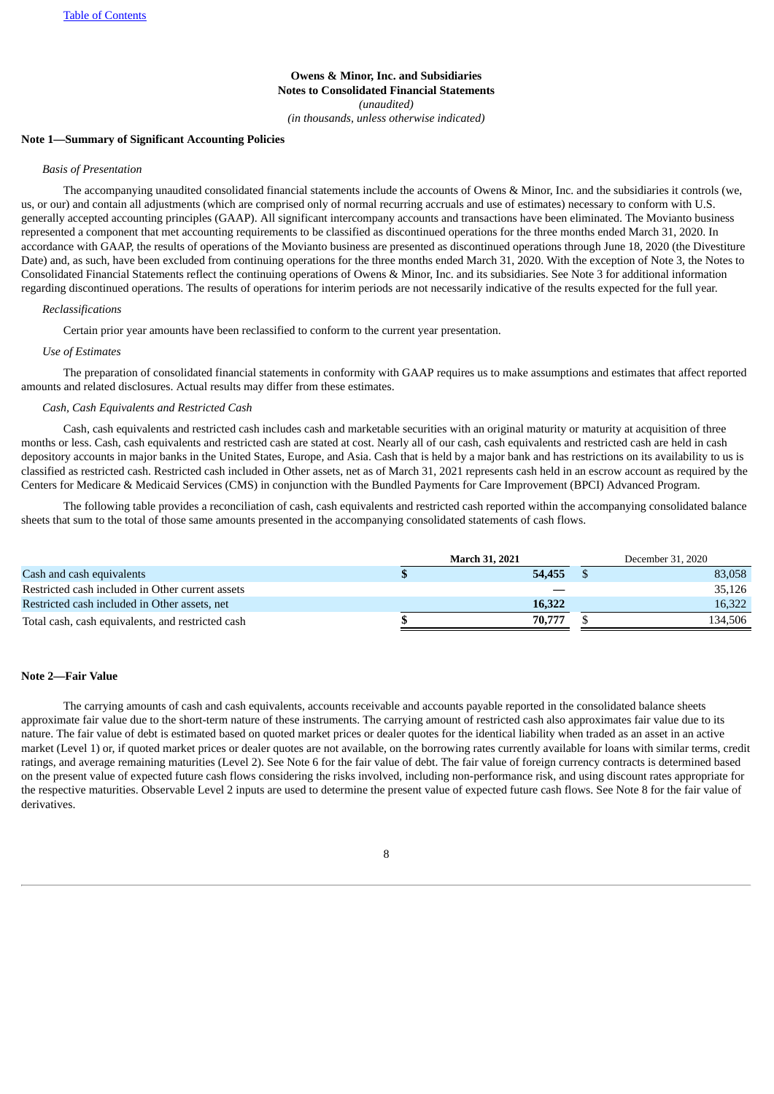**Owens & Minor, Inc. and Subsidiaries Notes to Consolidated Financial Statements** *(unaudited) (in thousands, unless otherwise indicated)*

#### **Note 1—Summary of Significant Accounting Policies**

#### *Basis of Presentation*

The accompanying unaudited consolidated financial statements include the accounts of Owens & Minor, Inc. and the subsidiaries it controls (we, us, or our) and contain all adjustments (which are comprised only of normal recurring accruals and use of estimates) necessary to conform with U.S. generally accepted accounting principles (GAAP). All significant intercompany accounts and transactions have been eliminated. The Movianto business represented a component that met accounting requirements to be classified as discontinued operations for the three months ended March 31, 2020. In accordance with GAAP, the results of operations of the Movianto business are presented as discontinued operations through June 18, 2020 (the Divestiture Date) and, as such, have been excluded from continuing operations for the three months ended March 31, 2020. With the exception of Note 3, the Notes to Consolidated Financial Statements reflect the continuing operations of Owens & Minor, Inc. and its subsidiaries. See Note 3 for additional information regarding discontinued operations. The results of operations for interim periods are not necessarily indicative of the results expected for the full year.

#### *Reclassifications*

Certain prior year amounts have been reclassified to conform to the current year presentation.

#### *Use of Estimates*

The preparation of consolidated financial statements in conformity with GAAP requires us to make assumptions and estimates that affect reported amounts and related disclosures. Actual results may differ from these estimates.

#### *Cash, Cash Equivalents and Restricted Cash*

Cash, cash equivalents and restricted cash includes cash and marketable securities with an original maturity or maturity at acquisition of three months or less. Cash, cash equivalents and restricted cash are stated at cost. Nearly all of our cash, cash equivalents and restricted cash are held in cash depository accounts in major banks in the United States, Europe, and Asia. Cash that is held by a major bank and has restrictions on its availability to us is classified as restricted cash. Restricted cash included in Other assets, net as of March 31, 2021 represents cash held in an escrow account as required by the Centers for Medicare & Medicaid Services (CMS) in conjunction with the Bundled Payments for Care Improvement (BPCI) Advanced Program.

The following table provides a reconciliation of cash, cash equivalents and restricted cash reported within the accompanying consolidated balance sheets that sum to the total of those same amounts presented in the accompanying consolidated statements of cash flows.

|                                                   | March 31, 2021 | December 31, 2020 |         |
|---------------------------------------------------|----------------|-------------------|---------|
| Cash and cash equivalents                         |                | 54,455            | 83,058  |
| Restricted cash included in Other current assets  |                |                   | 35.126  |
| Restricted cash included in Other assets, net     |                | 16,322            | 16.322  |
| Total cash, cash equivalents, and restricted cash |                | 70,777            | 134.506 |

#### **Note 2—Fair Value**

The carrying amounts of cash and cash equivalents, accounts receivable and accounts payable reported in the consolidated balance sheets approximate fair value due to the short-term nature of these instruments. The carrying amount of restricted cash also approximates fair value due to its nature. The fair value of debt is estimated based on quoted market prices or dealer quotes for the identical liability when traded as an asset in an active market (Level 1) or, if quoted market prices or dealer quotes are not available, on the borrowing rates currently available for loans with similar terms, credit ratings, and average remaining maturities (Level 2). See Note 6 for the fair value of debt. The fair value of foreign currency contracts is determined based on the present value of expected future cash flows considering the risks involved, including non-performance risk, and using discount rates appropriate for the respective maturities. Observable Level 2 inputs are used to determine the present value of expected future cash flows. See Note 8 for the fair value of derivatives.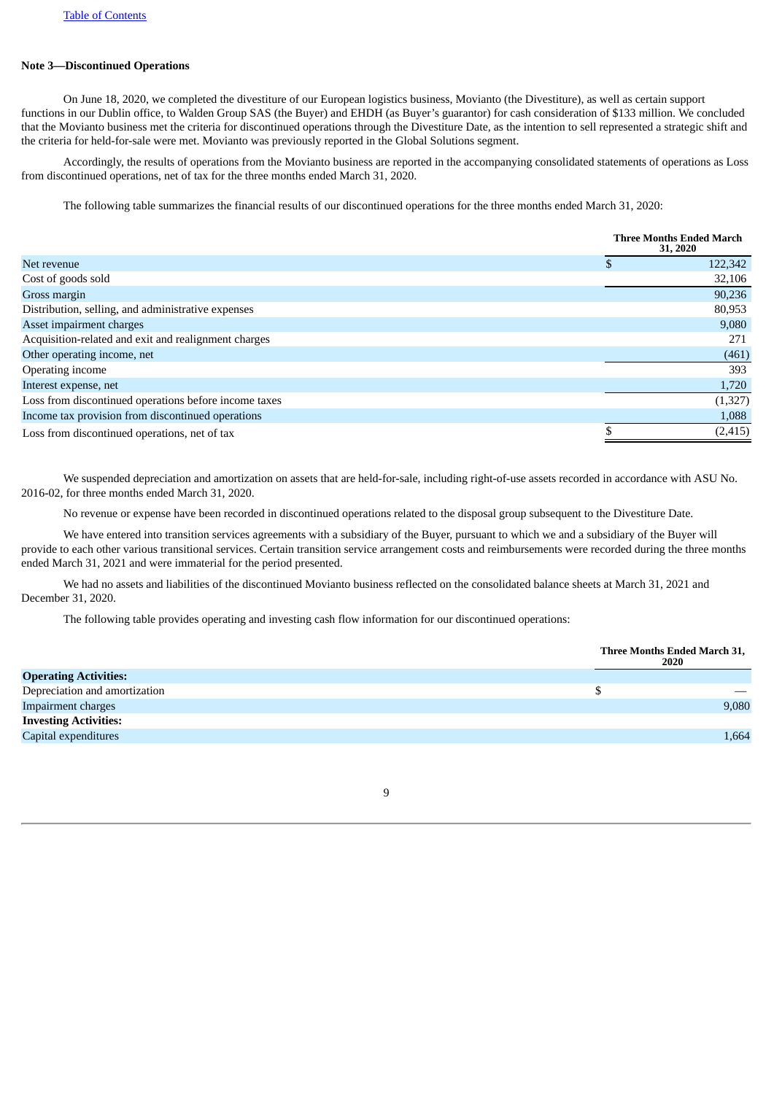## **Note 3—Discontinued Operations**

On June 18, 2020, we completed the divestiture of our European logistics business, Movianto (the Divestiture), as well as certain support functions in our Dublin office, to Walden Group SAS (the Buyer) and EHDH (as Buyer's guarantor) for cash consideration of \$133 million. We concluded that the Movianto business met the criteria for discontinued operations through the Divestiture Date, as the intention to sell represented a strategic shift and the criteria for held-for-sale were met. Movianto was previously reported in the Global Solutions segment.

Accordingly, the results of operations from the Movianto business are reported in the accompanying consolidated statements of operations as Loss from discontinued operations, net of tax for the three months ended March 31, 2020.

The following table summarizes the financial results of our discontinued operations for the three months ended March 31, 2020:

|                                                       | <b>Three Months Ended March</b><br>31, 2020 |
|-------------------------------------------------------|---------------------------------------------|
| Net revenue                                           | 122,342                                     |
| Cost of goods sold                                    | 32,106                                      |
| Gross margin                                          | 90,236                                      |
| Distribution, selling, and administrative expenses    | 80,953                                      |
| Asset impairment charges                              | 9,080                                       |
| Acquisition-related and exit and realignment charges  | 271                                         |
| Other operating income, net                           | (461)                                       |
| Operating income                                      | 393                                         |
| Interest expense, net                                 | 1,720                                       |
| Loss from discontinued operations before income taxes | (1,327)                                     |
| Income tax provision from discontinued operations     | 1,088                                       |
| Loss from discontinued operations, net of tax         | (2, 415)                                    |

We suspended depreciation and amortization on assets that are held-for-sale, including right-of-use assets recorded in accordance with ASU No. 2016-02, for three months ended March 31, 2020.

No revenue or expense have been recorded in discontinued operations related to the disposal group subsequent to the Divestiture Date.

We have entered into transition services agreements with a subsidiary of the Buyer, pursuant to which we and a subsidiary of the Buyer will provide to each other various transitional services. Certain transition service arrangement costs and reimbursements were recorded during the three months ended March 31, 2021 and were immaterial for the period presented.

We had no assets and liabilities of the discontinued Movianto business reflected on the consolidated balance sheets at March 31, 2021 and December 31, 2020.

The following table provides operating and investing cash flow information for our discontinued operations:

|                               | Three Months Ended March 31,<br>2020 |       |
|-------------------------------|--------------------------------------|-------|
| <b>Operating Activities:</b>  |                                      |       |
| Depreciation and amortization |                                      |       |
| Impairment charges            |                                      | 9,080 |
| <b>Investing Activities:</b>  |                                      |       |
| Capital expenditures          |                                      | 1,664 |
|                               |                                      |       |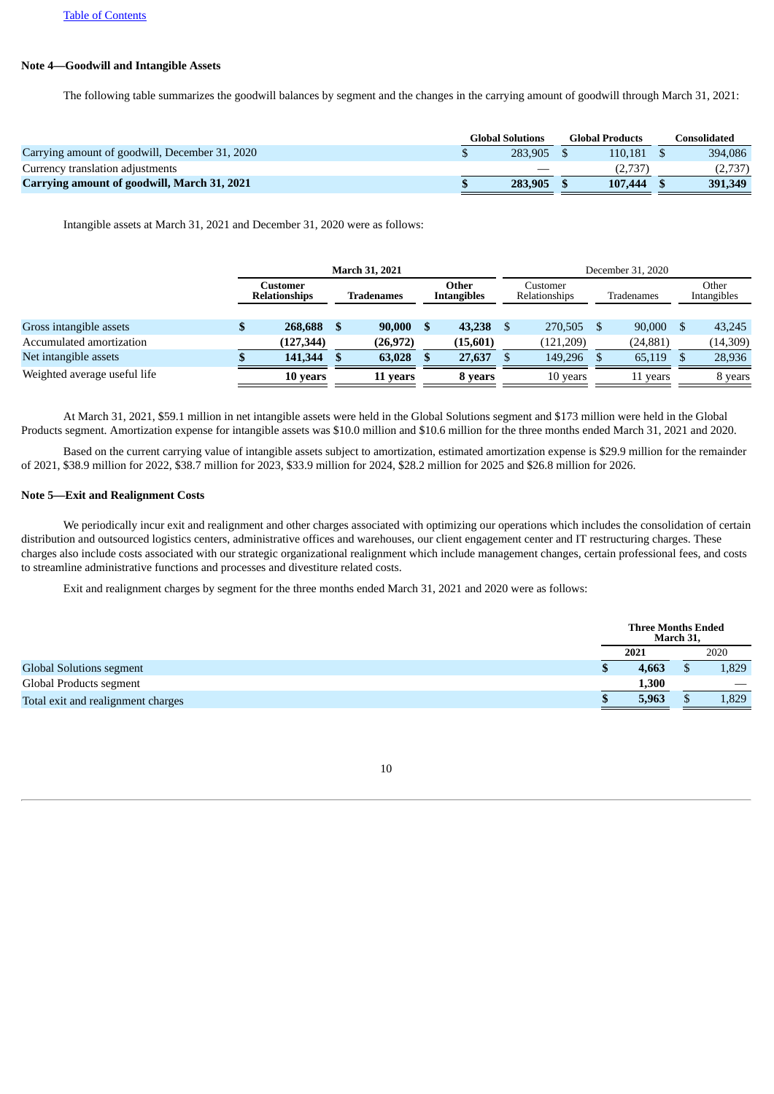# **Note 4—Goodwill and Intangible Assets**

The following table summarizes the goodwill balances by segment and the changes in the carrying amount of goodwill through March 31, 2021:

|                                                | <b>Global Solutions</b> |         |  | <b>Global Products</b> |  | consolidated |
|------------------------------------------------|-------------------------|---------|--|------------------------|--|--------------|
| Carrying amount of goodwill, December 31, 2020 |                         | 283.905 |  | $110.181$ \$           |  | 394.086      |
| Currency translation adjustments               |                         |         |  | (2.737)                |  | (2,737)      |
| Carrying amount of goodwill, March 31, 2021    |                         | 283,905 |  | 107,444                |  | 391,349      |

Intangible assets at March 31, 2021 and December 31, 2020 were as follows:

|                              |   | March 31, 2021                   |    |            |  |                             | December 31, 2020 |                           |  |            |  |                      |  |
|------------------------------|---|----------------------------------|----|------------|--|-----------------------------|-------------------|---------------------------|--|------------|--|----------------------|--|
|                              |   | Customer<br><b>Relationships</b> |    | Tradenames |  | Other<br><b>Intangibles</b> |                   | Customer<br>Relationships |  | Tradenames |  | Other<br>Intangibles |  |
|                              |   |                                  |    |            |  |                             |                   |                           |  |            |  |                      |  |
| Gross intangible assets      | Φ | 268,688                          | -S | 90,000     |  | 43,238                      | - \$              | 270,505                   |  | 90,000     |  | 43,245               |  |
| Accumulated amortization     |   | (127, 344)                       |    | (26,972)   |  | (15, 601)                   |                   | (121, 209)                |  | (24, 881)  |  | (14, 309)            |  |
| Net intangible assets        |   | 141,344                          |    | 63,028     |  | 27,637                      |                   | 149.296                   |  | 65,119     |  | 28,936               |  |
| Weighted average useful life |   | 10 years                         |    | 11 years   |  | 8 years                     |                   | 10 years                  |  | 11 years   |  | 8 years              |  |

At March 31, 2021, \$59.1 million in net intangible assets were held in the Global Solutions segment and \$173 million were held in the Global Products segment. Amortization expense for intangible assets was \$10.0 million and \$10.6 million for the three months ended March 31, 2021 and 2020.

Based on the current carrying value of intangible assets subject to amortization, estimated amortization expense is \$29.9 million for the remainder of 2021, \$38.9 million for 2022, \$38.7 million for 2023, \$33.9 million for 2024, \$28.2 million for 2025 and \$26.8 million for 2026.

## **Note 5—Exit and Realignment Costs**

We periodically incur exit and realignment and other charges associated with optimizing our operations which includes the consolidation of certain distribution and outsourced logistics centers, administrative offices and warehouses, our client engagement center and IT restructuring charges. These charges also include costs associated with our strategic organizational realignment which include management changes, certain professional fees, and costs to streamline administrative functions and processes and divestiture related costs.

Exit and realignment charges by segment for the three months ended March 31, 2021 and 2020 were as follows:

|                                    | <b>Three Months Ended</b> | March 31. |       |  |
|------------------------------------|---------------------------|-----------|-------|--|
|                                    | 2021                      |           | 2020  |  |
| <b>Global Solutions segment</b>    | 4,663                     |           | 1,829 |  |
| Global Products segment            | 1,300                     |           |       |  |
| Total exit and realignment charges | 5,963                     |           | 1,829 |  |

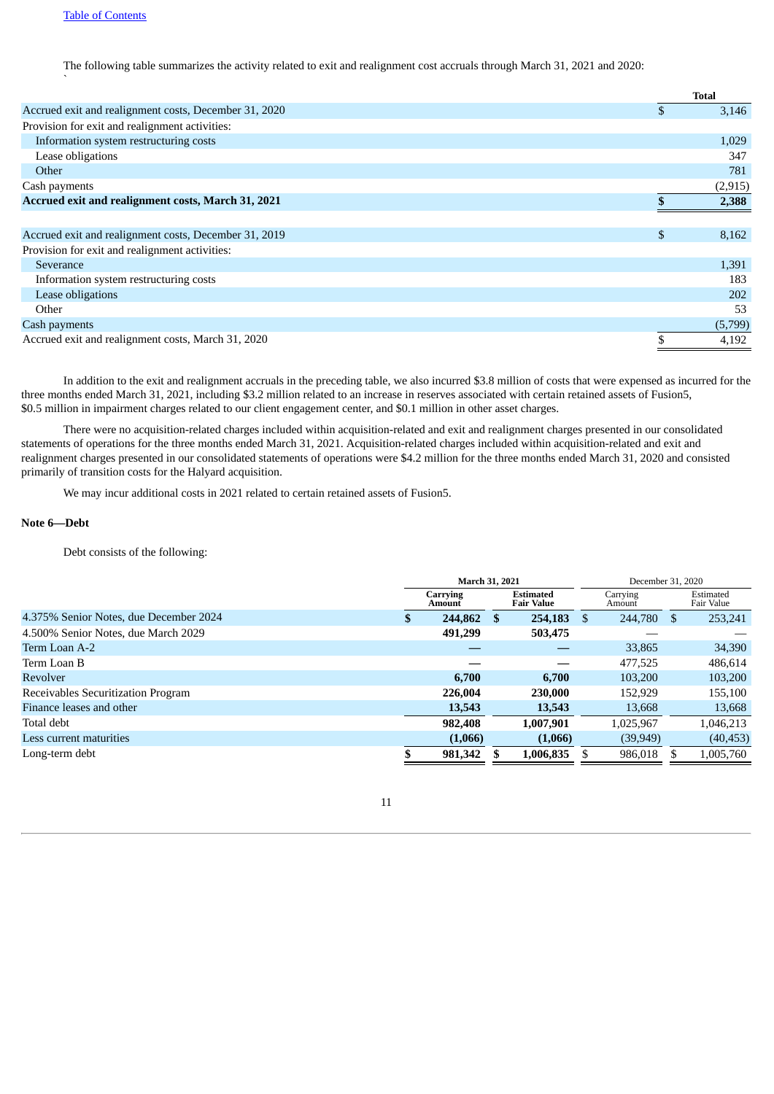`

The following table summarizes the activity related to exit and realignment cost accruals through March 31, 2021 and 2020:

|                                                       | <b>Total</b> |
|-------------------------------------------------------|--------------|
| Accrued exit and realignment costs, December 31, 2020 | \$<br>3,146  |
| Provision for exit and realignment activities:        |              |
| Information system restructuring costs                | 1,029        |
| Lease obligations                                     | 347          |
| Other                                                 | 781          |
| Cash payments                                         | (2, 915)     |
| Accrued exit and realignment costs, March 31, 2021    | 2,388        |
|                                                       |              |
| Accrued exit and realignment costs, December 31, 2019 | \$<br>8,162  |
| Provision for exit and realignment activities:        |              |
| Severance                                             | 1,391        |
| Information system restructuring costs                | 183          |
| Lease obligations                                     | 202          |
| Other                                                 | 53           |
| Cash payments                                         | (5,799)      |
| Accrued exit and realignment costs, March 31, 2020    | 4,192        |

In addition to the exit and realignment accruals in the preceding table, we also incurred \$3.8 million of costs that were expensed as incurred for the three months ended March 31, 2021, including \$3.2 million related to an increase in reserves associated with certain retained assets of Fusion5, \$0.5 million in impairment charges related to our client engagement center, and \$0.1 million in other asset charges.

There were no acquisition-related charges included within acquisition-related and exit and realignment charges presented in our consolidated statements of operations for the three months ended March 31, 2021. Acquisition-related charges included within acquisition-related and exit and realignment charges presented in our consolidated statements of operations were \$4.2 million for the three months ended March 31, 2020 and consisted primarily of transition costs for the Halyard acquisition.

We may incur additional costs in 2021 related to certain retained assets of Fusion5.

#### **Note 6—Debt**

Debt consists of the following:

|                                        | March 31, 2021 |                    |     |                                |      |                    | December 31, 2020 |                         |
|----------------------------------------|----------------|--------------------|-----|--------------------------------|------|--------------------|-------------------|-------------------------|
|                                        |                | Carrying<br>Amount |     | Estimated<br><b>Fair Value</b> |      | Carrying<br>Amount |                   | Estimated<br>Fair Value |
| 4.375% Senior Notes, due December 2024 |                | 244,862            | - S | 254,183                        | - \$ | 244,780            | - \$              | 253,241                 |
| 4.500% Senior Notes, due March 2029    |                | 491.299            |     | 503,475                        |      |                    |                   |                         |
| Term Loan A-2                          |                |                    |     |                                |      | 33,865             |                   | 34,390                  |
| Term Loan B                            |                |                    |     |                                |      | 477.525            |                   | 486.614                 |
| Revolver                               |                | 6.700              |     | 6,700                          |      | 103,200            |                   | 103,200                 |
| Receivables Securitization Program     |                | 226,004            |     | 230,000                        |      | 152,929            |                   | 155,100                 |
| Finance leases and other               |                | 13,543             |     | 13,543                         |      | 13,668             |                   | 13,668                  |
| Total debt                             |                | 982,408            |     | 1,007,901                      |      | 1,025,967          |                   | 1,046,213               |
| Less current maturities                |                | (1,066)            |     | (1,066)                        |      | (39, 949)          |                   | (40, 453)               |
| Long-term debt                         |                | 981,342            |     | 1,006,835                      |      | 986.018            |                   | 1,005,760               |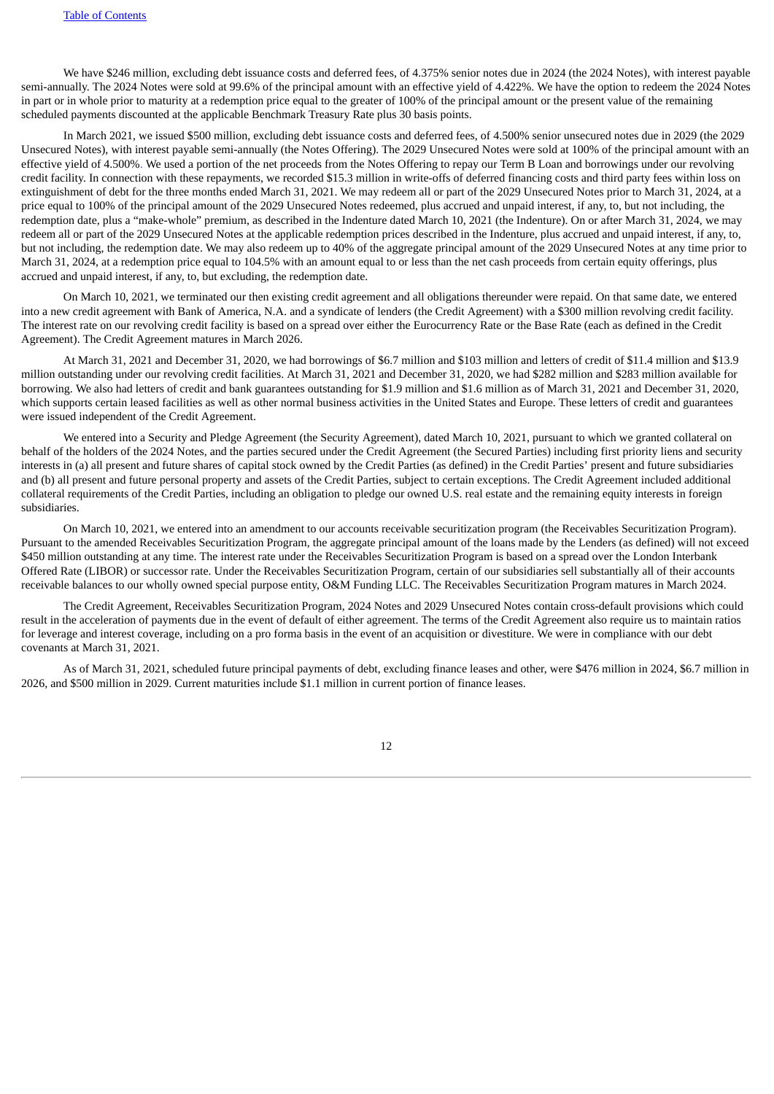We have \$246 million, excluding debt issuance costs and deferred fees, of 4.375% senior notes due in 2024 (the 2024 Notes), with interest payable semi-annually. The 2024 Notes were sold at 99.6% of the principal amount with an effective yield of 4.422%. We have the option to redeem the 2024 Notes in part or in whole prior to maturity at a redemption price equal to the greater of 100% of the principal amount or the present value of the remaining scheduled payments discounted at the applicable Benchmark Treasury Rate plus 30 basis points.

In March 2021, we issued \$500 million, excluding debt issuance costs and deferred fees, of 4.500% senior unsecured notes due in 2029 (the 2029 Unsecured Notes), with interest payable semi-annually (the Notes Offering). The 2029 Unsecured Notes were sold at 100% of the principal amount with an effective yield of 4.500%. We used a portion of the net proceeds from the Notes Offering to repay our Term B Loan and borrowings under our revolving credit facility. In connection with these repayments, we recorded \$15.3 million in write-offs of deferred financing costs and third party fees within loss on extinguishment of debt for the three months ended March 31, 2021. We may redeem all or part of the 2029 Unsecured Notes prior to March 31, 2024, at a price equal to 100% of the principal amount of the 2029 Unsecured Notes redeemed, plus accrued and unpaid interest, if any, to, but not including, the redemption date, plus a "make-whole" premium, as described in the Indenture dated March 10, 2021 (the Indenture). On or after March 31, 2024, we may redeem all or part of the 2029 Unsecured Notes at the applicable redemption prices described in the Indenture, plus accrued and unpaid interest, if any, to, but not including, the redemption date. We may also redeem up to 40% of the aggregate principal amount of the 2029 Unsecured Notes at any time prior to March 31, 2024, at a redemption price equal to 104.5% with an amount equal to or less than the net cash proceeds from certain equity offerings, plus accrued and unpaid interest, if any, to, but excluding, the redemption date.

On March 10, 2021, we terminated our then existing credit agreement and all obligations thereunder were repaid. On that same date, we entered into a new credit agreement with Bank of America, N.A. and a syndicate of lenders (the Credit Agreement) with a \$300 million revolving credit facility. The interest rate on our revolving credit facility is based on a spread over either the Eurocurrency Rate or the Base Rate (each as defined in the Credit Agreement). The Credit Agreement matures in March 2026.

At March 31, 2021 and December 31, 2020, we had borrowings of \$6.7 million and \$103 million and letters of credit of \$11.4 million and \$13.9 million outstanding under our revolving credit facilities. At March 31, 2021 and December 31, 2020, we had \$282 million and \$283 million available for borrowing. We also had letters of credit and bank guarantees outstanding for \$1.9 million and \$1.6 million as of March 31, 2021 and December 31, 2020, which supports certain leased facilities as well as other normal business activities in the United States and Europe. These letters of credit and guarantees were issued independent of the Credit Agreement.

We entered into a Security and Pledge Agreement (the Security Agreement), dated March 10, 2021, pursuant to which we granted collateral on behalf of the holders of the 2024 Notes, and the parties secured under the Credit Agreement (the Secured Parties) including first priority liens and security interests in (a) all present and future shares of capital stock owned by the Credit Parties (as defined) in the Credit Parties' present and future subsidiaries and (b) all present and future personal property and assets of the Credit Parties, subject to certain exceptions. The Credit Agreement included additional collateral requirements of the Credit Parties, including an obligation to pledge our owned U.S. real estate and the remaining equity interests in foreign subsidiaries.

On March 10, 2021, we entered into an amendment to our accounts receivable securitization program (the Receivables Securitization Program). Pursuant to the amended Receivables Securitization Program, the aggregate principal amount of the loans made by the Lenders (as defined) will not exceed \$450 million outstanding at any time. The interest rate under the Receivables Securitization Program is based on a spread over the London Interbank Offered Rate (LIBOR) or successor rate. Under the Receivables Securitization Program, certain of our subsidiaries sell substantially all of their accounts receivable balances to our wholly owned special purpose entity, O&M Funding LLC. The Receivables Securitization Program matures in March 2024.

The Credit Agreement, Receivables Securitization Program, 2024 Notes and 2029 Unsecured Notes contain cross-default provisions which could result in the acceleration of payments due in the event of default of either agreement. The terms of the Credit Agreement also require us to maintain ratios for leverage and interest coverage, including on a pro forma basis in the event of an acquisition or divestiture. We were in compliance with our debt covenants at March 31, 2021.

As of March 31, 2021, scheduled future principal payments of debt, excluding finance leases and other, were \$476 million in 2024, \$6.7 million in 2026, and \$500 million in 2029. Current maturities include \$1.1 million in current portion of finance leases.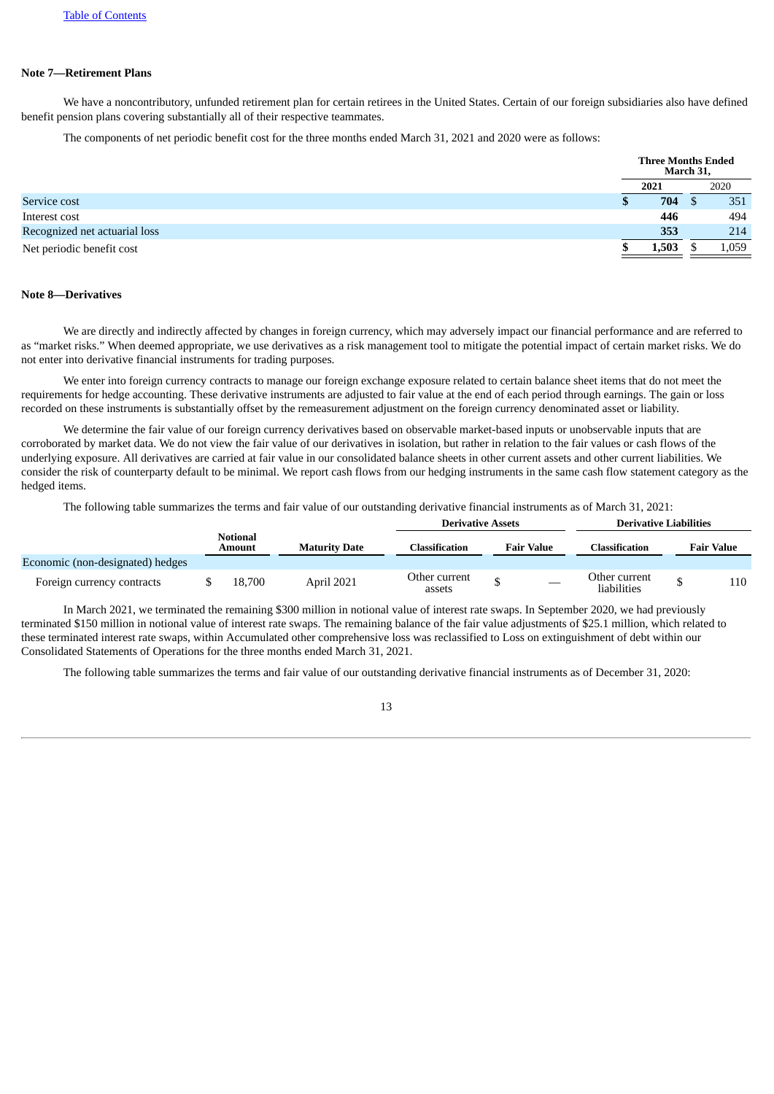## **Note 7—Retirement Plans**

We have a noncontributory, unfunded retirement plan for certain retirees in the United States. Certain of our foreign subsidiaries also have defined benefit pension plans covering substantially all of their respective teammates.

The components of net periodic benefit cost for the three months ended March 31, 2021 and 2020 were as follows:

|                               |      | March 31, | <b>Three Months Ended</b> |
|-------------------------------|------|-----------|---------------------------|
|                               | 2021 |           | 2020                      |
| Service cost                  |      | 704       | 351                       |
| Interest cost                 |      | 446       | 494                       |
| Recognized net actuarial loss |      | 353       | 214                       |
| Net periodic benefit cost     |      | 1,503     | 1,059                     |

#### **Note 8—Derivatives**

We are directly and indirectly affected by changes in foreign currency, which may adversely impact our financial performance and are referred to as "market risks." When deemed appropriate, we use derivatives as a risk management tool to mitigate the potential impact of certain market risks. We do not enter into derivative financial instruments for trading purposes.

We enter into foreign currency contracts to manage our foreign exchange exposure related to certain balance sheet items that do not meet the requirements for hedge accounting. These derivative instruments are adjusted to fair value at the end of each period through earnings. The gain or loss recorded on these instruments is substantially offset by the remeasurement adjustment on the foreign currency denominated asset or liability.

We determine the fair value of our foreign currency derivatives based on observable market-based inputs or unobservable inputs that are corroborated by market data. We do not view the fair value of our derivatives in isolation, but rather in relation to the fair values or cash flows of the underlying exposure. All derivatives are carried at fair value in our consolidated balance sheets in other current assets and other current liabilities. We consider the risk of counterparty default to be minimal. We report cash flows from our hedging instruments in the same cash flow statement category as the hedged items.

The following table summarizes the terms and fair value of our outstanding derivative financial instruments as of March 31, 2021:

|                                  |  |                           |                      | <b>Derivative Assets</b> |                   | <b>Derivative Liabilities</b> |  |                   |
|----------------------------------|--|---------------------------|----------------------|--------------------------|-------------------|-------------------------------|--|-------------------|
|                                  |  | <b>Notional</b><br>Amount | <b>Maturity Date</b> | Classification           | <b>Fair Value</b> | Classification                |  | <b>Fair Value</b> |
| Economic (non-designated) hedges |  |                           |                      |                          |                   |                               |  |                   |
| Foreign currency contracts       |  | 18.700                    | April 2021           | Other current<br>assets  |                   | Other current<br>liabilities  |  | 110               |

In March 2021, we terminated the remaining \$300 million in notional value of interest rate swaps. In September 2020, we had previously terminated \$150 million in notional value of interest rate swaps. The remaining balance of the fair value adjustments of \$25.1 million, which related to these terminated interest rate swaps, within Accumulated other comprehensive loss was reclassified to Loss on extinguishment of debt within our Consolidated Statements of Operations for the three months ended March 31, 2021.

The following table summarizes the terms and fair value of our outstanding derivative financial instruments as of December 31, 2020: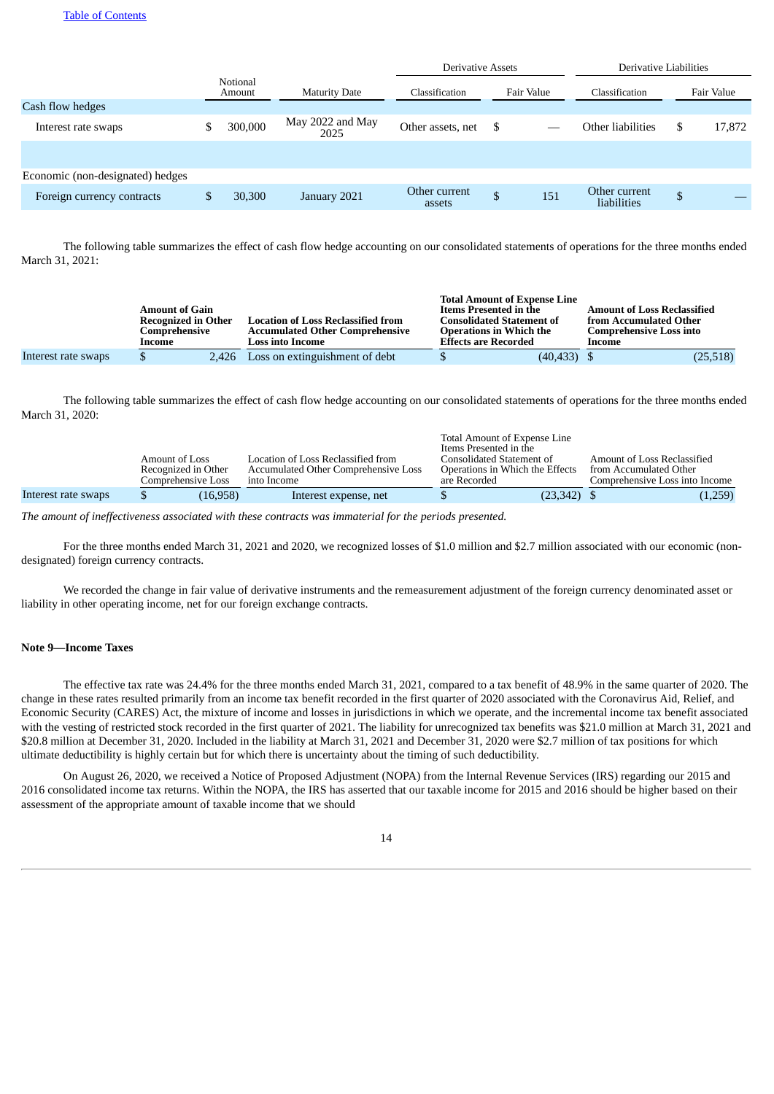|                                  |                    |                          | <b>Derivative Assets</b> |     |            | Derivative Liabilities       |            |
|----------------------------------|--------------------|--------------------------|--------------------------|-----|------------|------------------------------|------------|
|                                  | Notional<br>Amount | <b>Maturity Date</b>     | Classification           |     | Fair Value | Classification               | Fair Value |
| Cash flow hedges                 |                    |                          |                          |     |            |                              |            |
| Interest rate swaps              | 300,000            | May 2022 and May<br>2025 | Other assets, net        | - S | __         | Other liabilities            | 17,872     |
|                                  |                    |                          |                          |     |            |                              |            |
| Economic (non-designated) hedges |                    |                          |                          |     |            |                              |            |
| Foreign currency contracts       | 30,300             | January 2021             | Other current<br>assets  | \$  | 151        | Other current<br>liabilities | \$         |

The following table summarizes the effect of cash flow hedge accounting on our consolidated statements of operations for the three months ended March 31, 2021:

|                     |                            |                                           |                                  | <b>Total Amount of Expense Line</b> |                                    |           |
|---------------------|----------------------------|-------------------------------------------|----------------------------------|-------------------------------------|------------------------------------|-----------|
|                     | <b>Amount of Gain</b>      |                                           | Items Presented in the           |                                     | <b>Amount of Loss Reclassified</b> |           |
|                     | <b>Recognized in Other</b> | <b>Location of Loss Reclassified from</b> | <b>Consolidated Statement of</b> |                                     | from Accumulated Other             |           |
|                     | Comprehensive              | <b>Accumulated Other Comprehensive</b>    | <b>Operations in Which the</b>   |                                     | <b>Comprehensive Loss into</b>     |           |
|                     | Income                     | Loss into Income                          | Effects are Recorded             |                                     | Income                             |           |
| Interest rate swaps |                            | 2,426 Loss on extinguishment of debt      |                                  | $(40, 433)$ \$                      |                                    | (25, 518) |

The following table summarizes the effect of cash flow hedge accounting on our consolidated statements of operations for the three months ended March 31, 2020:

|                     |                |                                           |                                                                                           |              | Total Amount of Expense Line<br>Items Presented in the       |                        |                                                               |
|---------------------|----------------|-------------------------------------------|-------------------------------------------------------------------------------------------|--------------|--------------------------------------------------------------|------------------------|---------------------------------------------------------------|
|                     | Amount of Loss | Recognized in Other<br>Comprehensive Loss | Location of Loss Reclassified from<br>Accumulated Other Comprehensive Loss<br>into Income | are Recorded | Consolidated Statement of<br>Operations in Which the Effects | from Accumulated Other | Amount of Loss Reclassified<br>Comprehensive Loss into Income |
| Interest rate swaps |                | (16,958)                                  | Interest expense, net                                                                     |              | (23, 342)                                                    |                        | (1,259)                                                       |

*The amount of ineffectiveness associated with these contracts was immaterial for the periods presented.*

For the three months ended March 31, 2021 and 2020, we recognized losses of \$1.0 million and \$2.7 million associated with our economic (nondesignated) foreign currency contracts.

We recorded the change in fair value of derivative instruments and the remeasurement adjustment of the foreign currency denominated asset or liability in other operating income, net for our foreign exchange contracts.

## **Note 9—Income Taxes**

The effective tax rate was 24.4% for the three months ended March 31, 2021, compared to a tax benefit of 48.9% in the same quarter of 2020. The change in these rates resulted primarily from an income tax benefit recorded in the first quarter of 2020 associated with the Coronavirus Aid, Relief, and Economic Security (CARES) Act, the mixture of income and losses in jurisdictions in which we operate, and the incremental income tax benefit associated with the vesting of restricted stock recorded in the first quarter of 2021. The liability for unrecognized tax benefits was \$21.0 million at March 31, 2021 and \$20.8 million at December 31, 2020. Included in the liability at March 31, 2021 and December 31, 2020 were \$2.7 million of tax positions for which ultimate deductibility is highly certain but for which there is uncertainty about the timing of such deductibility.

On August 26, 2020, we received a Notice of Proposed Adjustment (NOPA) from the Internal Revenue Services (IRS) regarding our 2015 and 2016 consolidated income tax returns. Within the NOPA, the IRS has asserted that our taxable income for 2015 and 2016 should be higher based on their assessment of the appropriate amount of taxable income that we should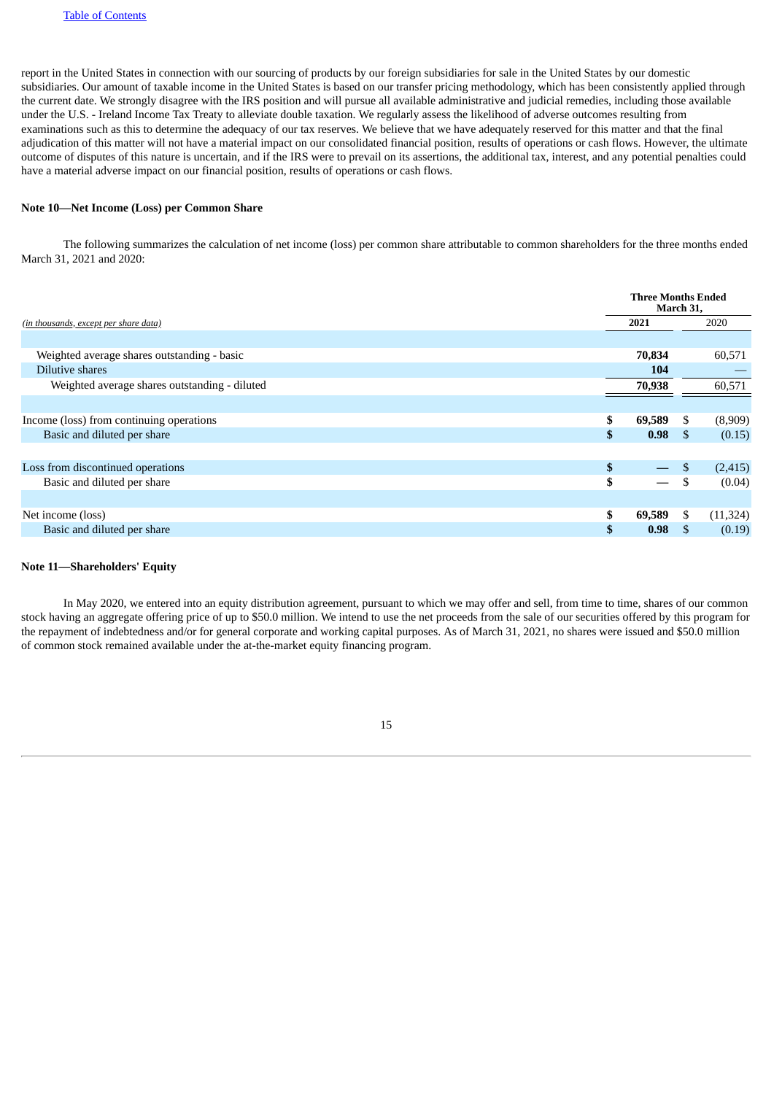report in the United States in connection with our sourcing of products by our foreign subsidiaries for sale in the United States by our domestic subsidiaries. Our amount of taxable income in the United States is based on our transfer pricing methodology, which has been consistently applied through the current date. We strongly disagree with the IRS position and will pursue all available administrative and judicial remedies, including those available under the U.S. - Ireland Income Tax Treaty to alleviate double taxation. We regularly assess the likelihood of adverse outcomes resulting from examinations such as this to determine the adequacy of our tax reserves. We believe that we have adequately reserved for this matter and that the final adjudication of this matter will not have a material impact on our consolidated financial position, results of operations or cash flows. However, the ultimate outcome of disputes of this nature is uncertain, and if the IRS were to prevail on its assertions, the additional tax, interest, and any potential penalties could have a material adverse impact on our financial position, results of operations or cash flows.

#### **Note 10—Net Income (Loss) per Common Share**

The following summarizes the calculation of net income (loss) per common share attributable to common shareholders for the three months ended March 31, 2021 and 2020:

| 2021<br>2020<br>(in thousands, except per share data)<br>Weighted average shares outstanding - basic<br>70,834<br>Dilutive shares<br>104<br>Weighted average shares outstanding - diluted<br>70,938 | <b>Three Months Ended</b><br>March 31, |  |           |
|-----------------------------------------------------------------------------------------------------------------------------------------------------------------------------------------------------|----------------------------------------|--|-----------|
|                                                                                                                                                                                                     |                                        |  |           |
|                                                                                                                                                                                                     |                                        |  |           |
|                                                                                                                                                                                                     |                                        |  | 60,571    |
|                                                                                                                                                                                                     |                                        |  |           |
|                                                                                                                                                                                                     |                                        |  | 60,571    |
|                                                                                                                                                                                                     |                                        |  |           |
| \$<br>69,589<br>\$.<br>Income (loss) from continuing operations                                                                                                                                     |                                        |  | (8,909)   |
| \$<br>Basic and diluted per share<br>0.98<br>\$.                                                                                                                                                    |                                        |  | (0.15)    |
|                                                                                                                                                                                                     |                                        |  |           |
| \$<br>Loss from discontinued operations<br>-\$                                                                                                                                                      |                                        |  | (2, 415)  |
| \$<br>Basic and diluted per share<br>\$                                                                                                                                                             |                                        |  | (0.04)    |
|                                                                                                                                                                                                     |                                        |  |           |
| \$<br>\$.<br>69,589<br>Net income (loss)                                                                                                                                                            |                                        |  | (11, 324) |
| \$<br>Basic and diluted per share<br>0.98<br>\$                                                                                                                                                     |                                        |  | (0.19)    |

#### **Note 11—Shareholders' Equity**

In May 2020, we entered into an equity distribution agreement, pursuant to which we may offer and sell, from time to time, shares of our common stock having an aggregate offering price of up to \$50.0 million. We intend to use the net proceeds from the sale of our securities offered by this program for the repayment of indebtedness and/or for general corporate and working capital purposes. As of March 31, 2021, no shares were issued and \$50.0 million of common stock remained available under the at-the-market equity financing program.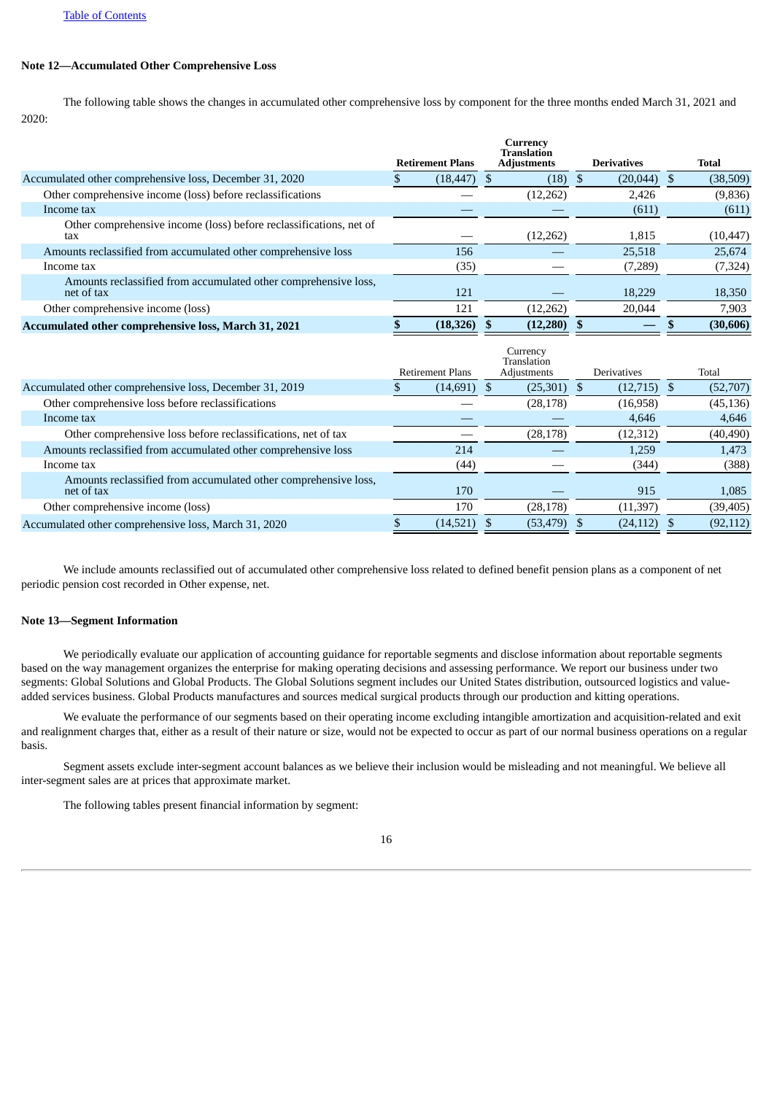# Table of [Contents](#page-0-0)

## **Note 12—Accumulated Other Comprehensive Loss**

The following table shows the changes in accumulated other comprehensive loss by component for the three months ended March 31, 2021 and 2020:

|                                                                               |                         | Currency<br><b>Translation</b> |                      |              |
|-------------------------------------------------------------------------------|-------------------------|--------------------------------|----------------------|--------------|
|                                                                               | <b>Retirement Plans</b> | <b>Adjustments</b>             | <b>Derivatives</b>   | <b>Total</b> |
| Accumulated other comprehensive loss, December 31, 2020                       | (18, 447)               | (18)                           | $(20,044)$ \$<br>- D | (38, 509)    |
| Other comprehensive income (loss) before reclassifications                    |                         | (12,262)                       | 2.426                | (9,836)      |
| Income tax                                                                    |                         |                                | (611)                | (611)        |
| Other comprehensive income (loss) before reclassifications, net of<br>tax     |                         | (12,262)                       | 1,815                | (10, 447)    |
| Amounts reclassified from accumulated other comprehensive loss                | 156                     |                                | 25.518               | 25.674       |
| Income tax                                                                    | (35)                    |                                | (7,289)              | (7, 324)     |
| Amounts reclassified from accumulated other comprehensive loss,<br>net of tax | 121                     |                                | 18,229               | 18,350       |
| Other comprehensive income (loss)                                             | 121                     | (12,262)                       | 20,044               | 7,903        |
| Accumulated other comprehensive loss, March 31, 2021                          | (18, 326)               | (12,280)                       |                      | (30,606)     |

| Total     |
|-----------|
|           |
| (52,707)  |
| (45, 136) |
| 4,646     |
| (40, 490) |
| 1,473     |
| (388)     |
| 1,085     |
| (39, 405) |
| (92, 112) |
|           |

We include amounts reclassified out of accumulated other comprehensive loss related to defined benefit pension plans as a component of net periodic pension cost recorded in Other expense, net.

#### **Note 13—Segment Information**

We periodically evaluate our application of accounting guidance for reportable segments and disclose information about reportable segments based on the way management organizes the enterprise for making operating decisions and assessing performance. We report our business under two segments: Global Solutions and Global Products. The Global Solutions segment includes our United States distribution, outsourced logistics and valueadded services business. Global Products manufactures and sources medical surgical products through our production and kitting operations.

We evaluate the performance of our segments based on their operating income excluding intangible amortization and acquisition-related and exit and realignment charges that, either as a result of their nature or size, would not be expected to occur as part of our normal business operations on a regular basis.

Segment assets exclude inter-segment account balances as we believe their inclusion would be misleading and not meaningful. We believe all inter-segment sales are at prices that approximate market.

The following tables present financial information by segment: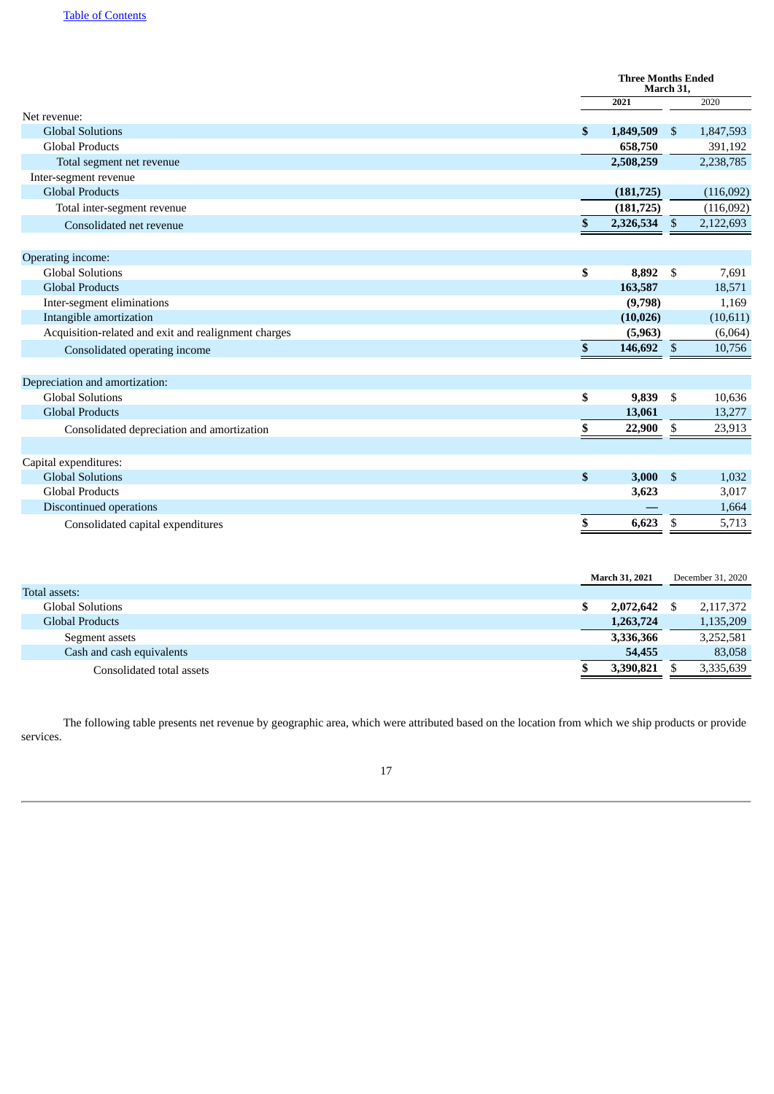|                                                      |              | <b>Three Months Ended</b><br>March 31, |                           |           |
|------------------------------------------------------|--------------|----------------------------------------|---------------------------|-----------|
|                                                      |              | 2021                                   |                           | 2020      |
| Net revenue:                                         |              |                                        |                           |           |
| <b>Global Solutions</b>                              | \$           | 1,849,509                              | $\mathfrak{F}$            | 1,847,593 |
| <b>Global Products</b>                               |              | 658,750                                |                           | 391,192   |
| Total segment net revenue                            |              | 2,508,259                              |                           | 2,238,785 |
| Inter-segment revenue                                |              |                                        |                           |           |
| <b>Global Products</b>                               |              | (181, 725)                             |                           | (116,092) |
| Total inter-segment revenue                          |              | (181, 725)                             |                           | (116,092) |
| Consolidated net revenue                             | \$           | 2,326,534                              | $\boldsymbol{\mathsf{S}}$ | 2,122,693 |
|                                                      |              |                                        |                           |           |
| Operating income:                                    |              |                                        |                           |           |
| <b>Global Solutions</b>                              | \$           | 8,892 \$                               |                           | 7,691     |
| <b>Global Products</b>                               |              | 163,587                                |                           | 18,571    |
| Inter-segment eliminations                           |              | (9,798)                                |                           | 1,169     |
| Intangible amortization                              |              | (10, 026)                              |                           | (10,611)  |
| Acquisition-related and exit and realignment charges |              | (5,963)                                |                           | (6,064)   |
| Consolidated operating income                        | \$           | 146,692                                | $\mathfrak{S}$            | 10,756    |
|                                                      |              |                                        |                           |           |
| Depreciation and amortization:                       |              |                                        |                           |           |
| <b>Global Solutions</b>                              | \$           | 9,839                                  | \$                        | 10,636    |
| <b>Global Products</b>                               |              | 13,061                                 |                           | 13,277    |
| Consolidated depreciation and amortization           | \$           | 22,900                                 | \$                        | 23,913    |
|                                                      |              |                                        |                           |           |
| Capital expenditures:                                |              |                                        |                           |           |
| <b>Global Solutions</b>                              | $\mathbf{s}$ | 3,000                                  | $\sqrt{5}$                | 1,032     |
| <b>Global Products</b>                               |              | 3,623                                  |                           | 3,017     |
| Discontinued operations                              |              |                                        |                           | 1,664     |
| Consolidated capital expenditures                    | \$           | 6,623                                  | \$                        | 5,713     |
|                                                      |              |                                        |                           |           |

|                           | <b>March 31, 2021</b> | December 31, 2020 |
|---------------------------|-----------------------|-------------------|
| Total assets:             |                       |                   |
| Global Solutions          | 2,072,642             | 2,117,372         |
| Global Products           | 1,263,724             | 1,135,209         |
| Segment assets            | 3,336,366             | 3,252,581         |
| Cash and cash equivalents | 54,455                | 83,058            |
| Consolidated total assets | 3,390,821             | 3,335,639         |
|                           |                       |                   |

The following table presents net revenue by geographic area, which were attributed based on the location from which we ship products or provide services.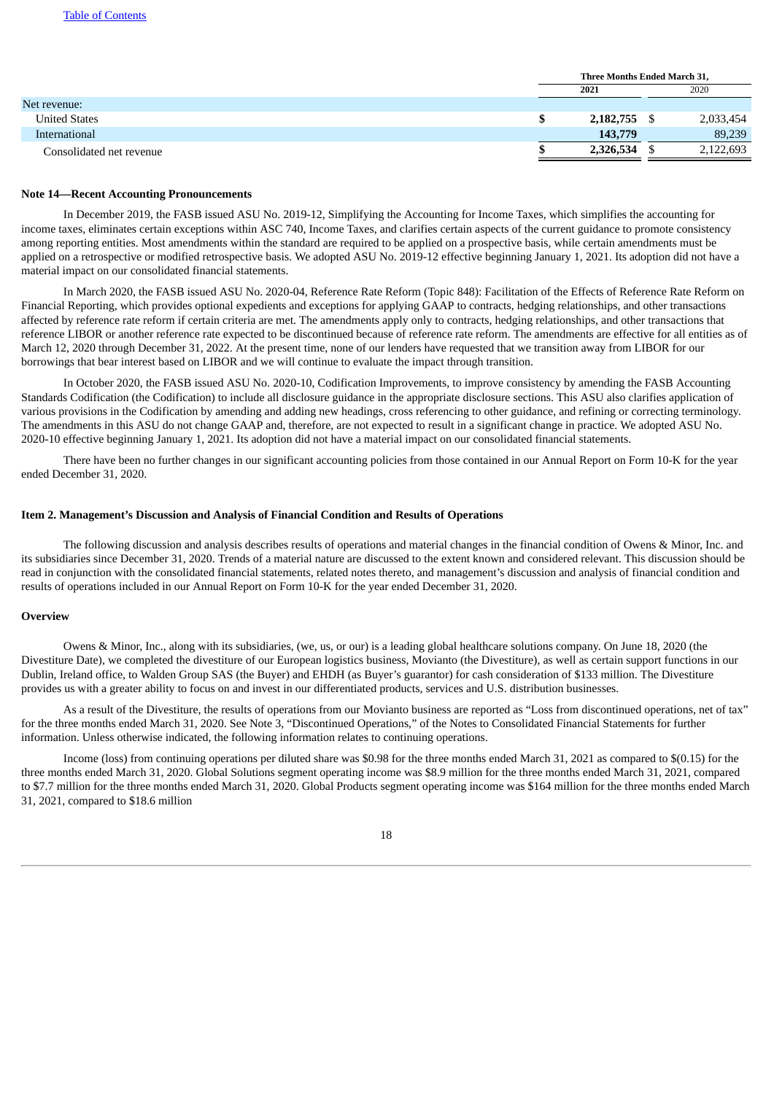|                          |           | Three Months Ended March 31, |           |  |  |  |  |
|--------------------------|-----------|------------------------------|-----------|--|--|--|--|
|                          | 2021      |                              | 2020      |  |  |  |  |
| Net revenue:             |           |                              |           |  |  |  |  |
| <b>United States</b>     | 2,182,755 |                              | 2,033,454 |  |  |  |  |
| International            | 143,779   |                              | 89,239    |  |  |  |  |
| Consolidated net revenue | 2,326,534 |                              | 2,122,693 |  |  |  |  |

#### **Note 14—Recent Accounting Pronouncements**

In December 2019, the FASB issued ASU No. 2019-12, Simplifying the Accounting for Income Taxes, which simplifies the accounting for income taxes, eliminates certain exceptions within ASC 740, Income Taxes, and clarifies certain aspects of the current guidance to promote consistency among reporting entities. Most amendments within the standard are required to be applied on a prospective basis, while certain amendments must be applied on a retrospective or modified retrospective basis. We adopted ASU No. 2019-12 effective beginning January 1, 2021. Its adoption did not have a material impact on our consolidated financial statements.

In March 2020, the FASB issued ASU No. 2020-04, Reference Rate Reform (Topic 848): Facilitation of the Effects of Reference Rate Reform on Financial Reporting, which provides optional expedients and exceptions for applying GAAP to contracts, hedging relationships, and other transactions affected by reference rate reform if certain criteria are met. The amendments apply only to contracts, hedging relationships, and other transactions that reference LIBOR or another reference rate expected to be discontinued because of reference rate reform. The amendments are effective for all entities as of March 12, 2020 through December 31, 2022. At the present time, none of our lenders have requested that we transition away from LIBOR for our borrowings that bear interest based on LIBOR and we will continue to evaluate the impact through transition.

In October 2020, the FASB issued ASU No. 2020-10, Codification Improvements, to improve consistency by amending the FASB Accounting Standards Codification (the Codification) to include all disclosure guidance in the appropriate disclosure sections. This ASU also clarifies application of various provisions in the Codification by amending and adding new headings, cross referencing to other guidance, and refining or correcting terminology. The amendments in this ASU do not change GAAP and, therefore, are not expected to result in a significant change in practice. We adopted ASU No. 2020-10 effective beginning January 1, 2021. Its adoption did not have a material impact on our consolidated financial statements.

There have been no further changes in our significant accounting policies from those contained in our Annual Report on Form 10-K for the year ended December 31, 2020.

#### <span id="page-17-0"></span>**Item 2. Management's Discussion and Analysis of Financial Condition and Results of Operations**

The following discussion and analysis describes results of operations and material changes in the financial condition of Owens & Minor, Inc. and its subsidiaries since December 31, 2020. Trends of a material nature are discussed to the extent known and considered relevant. This discussion should be read in conjunction with the consolidated financial statements, related notes thereto, and management's discussion and analysis of financial condition and results of operations included in our Annual Report on Form 10-K for the year ended December 31, 2020.

#### **Overview**

Owens & Minor, Inc., along with its subsidiaries, (we, us, or our) is a leading global healthcare solutions company. On June 18, 2020 (the Divestiture Date), we completed the divestiture of our European logistics business, Movianto (the Divestiture), as well as certain support functions in our Dublin, Ireland office, to Walden Group SAS (the Buyer) and EHDH (as Buyer's guarantor) for cash consideration of \$133 million. The Divestiture provides us with a greater ability to focus on and invest in our differentiated products, services and U.S. distribution businesses.

As a result of the Divestiture, the results of operations from our Movianto business are reported as "Loss from discontinued operations, net of tax" for the three months ended March 31, 2020. See Note 3, "Discontinued Operations," of the Notes to Consolidated Financial Statements for further information. Unless otherwise indicated, the following information relates to continuing operations.

Income (loss) from continuing operations per diluted share was \$0.98 for the three months ended March 31, 2021 as compared to \$(0.15) for the three months ended March 31, 2020. Global Solutions segment operating income was \$8.9 million for the three months ended March 31, 2021, compared to \$7.7 million for the three months ended March 31, 2020. Global Products segment operating income was \$164 million for the three months ended March 31, 2021, compared to \$18.6 million

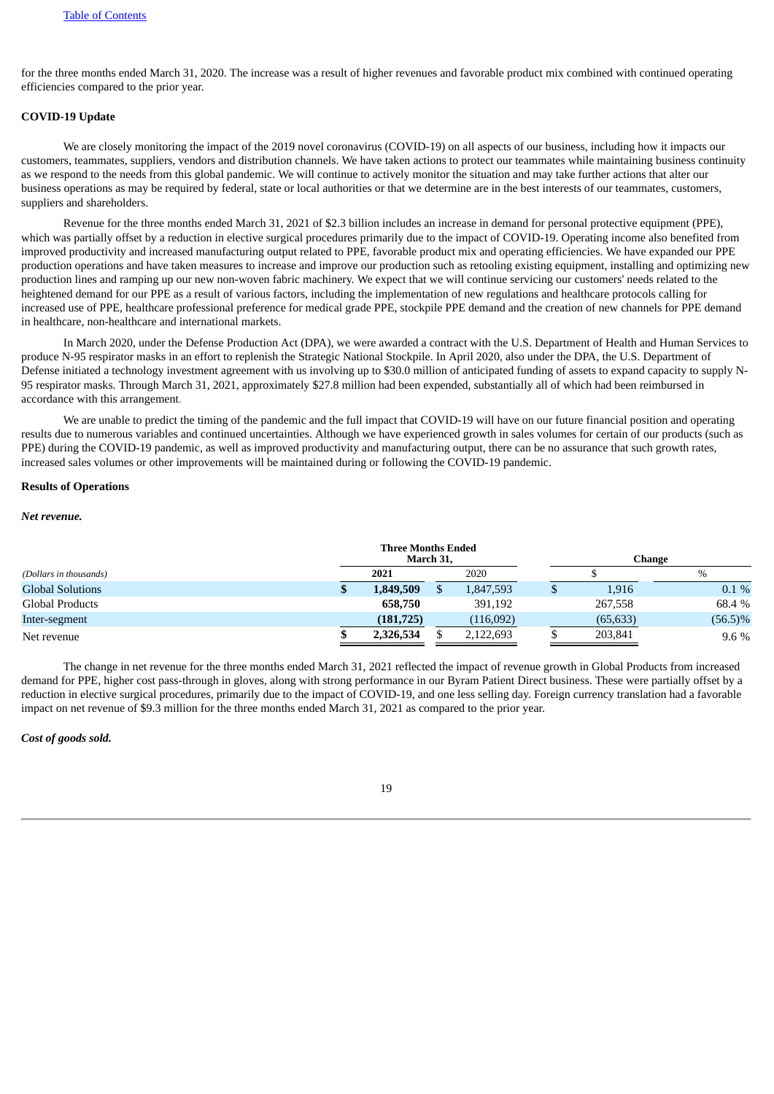for the three months ended March 31, 2020. The increase was a result of higher revenues and favorable product mix combined with continued operating efficiencies compared to the prior year.

# **COVID-19 Update**

We are closely monitoring the impact of the 2019 novel coronavirus (COVID-19) on all aspects of our business, including how it impacts our customers, teammates, suppliers, vendors and distribution channels. We have taken actions to protect our teammates while maintaining business continuity as we respond to the needs from this global pandemic. We will continue to actively monitor the situation and may take further actions that alter our business operations as may be required by federal, state or local authorities or that we determine are in the best interests of our teammates, customers, suppliers and shareholders.

Revenue for the three months ended March 31, 2021 of \$2.3 billion includes an increase in demand for personal protective equipment (PPE), which was partially offset by a reduction in elective surgical procedures primarily due to the impact of COVID-19. Operating income also benefited from improved productivity and increased manufacturing output related to PPE, favorable product mix and operating efficiencies. We have expanded our PPE production operations and have taken measures to increase and improve our production such as retooling existing equipment, installing and optimizing new production lines and ramping up our new non-woven fabric machinery. We expect that we will continue servicing our customers' needs related to the heightened demand for our PPE as a result of various factors, including the implementation of new regulations and healthcare protocols calling for increased use of PPE, healthcare professional preference for medical grade PPE, stockpile PPE demand and the creation of new channels for PPE demand in healthcare, non-healthcare and international markets.

In March 2020, under the Defense Production Act (DPA), we were awarded a contract with the U.S. Department of Health and Human Services to produce N-95 respirator masks in an effort to replenish the Strategic National Stockpile. In April 2020, also under the DPA, the U.S. Department of Defense initiated a technology investment agreement with us involving up to \$30.0 million of anticipated funding of assets to expand capacity to supply N-95 respirator masks. Through March 31, 2021, approximately \$27.8 million had been expended, substantially all of which had been reimbursed in accordance with this arrangement.

We are unable to predict the timing of the pandemic and the full impact that COVID-19 will have on our future financial position and operating results due to numerous variables and continued uncertainties. Although we have experienced growth in sales volumes for certain of our products (such as PPE) during the COVID-19 pandemic, as well as improved productivity and manufacturing output, there can be no assurance that such growth rates, increased sales volumes or other improvements will be maintained during or following the COVID-19 pandemic.

#### **Results of Operations**

#### *Net revenue.*

|                         |  | <b>Three Months Ended</b> | March 31. |           |   | Change    |            |  |  |
|-------------------------|--|---------------------------|-----------|-----------|---|-----------|------------|--|--|
| (Dollars in thousands)  |  | 2021                      | 2020      |           |   |           | $\%$       |  |  |
| <b>Global Solutions</b> |  | 1,849,509                 |           | 1,847,593 | ۰ | 1,916     | $0.1 \%$   |  |  |
| Global Products         |  | 658,750                   |           | 391,192   |   | 267,558   | 68.4 %     |  |  |
| Inter-segment           |  | (181, 725)                |           | (116,092) |   | (65, 633) | $(56.5)\%$ |  |  |
| Net revenue             |  | 2,326,534                 |           | 2,122,693 |   | 203,841   | $9.6\%$    |  |  |

The change in net revenue for the three months ended March 31, 2021 reflected the impact of revenue growth in Global Products from increased demand for PPE, higher cost pass-through in gloves, along with strong performance in our Byram Patient Direct business. These were partially offset by a reduction in elective surgical procedures, primarily due to the impact of COVID-19, and one less selling day. Foreign currency translation had a favorable impact on net revenue of \$9.3 million for the three months ended March 31, 2021 as compared to the prior year.

#### *Cost of goods sold.*

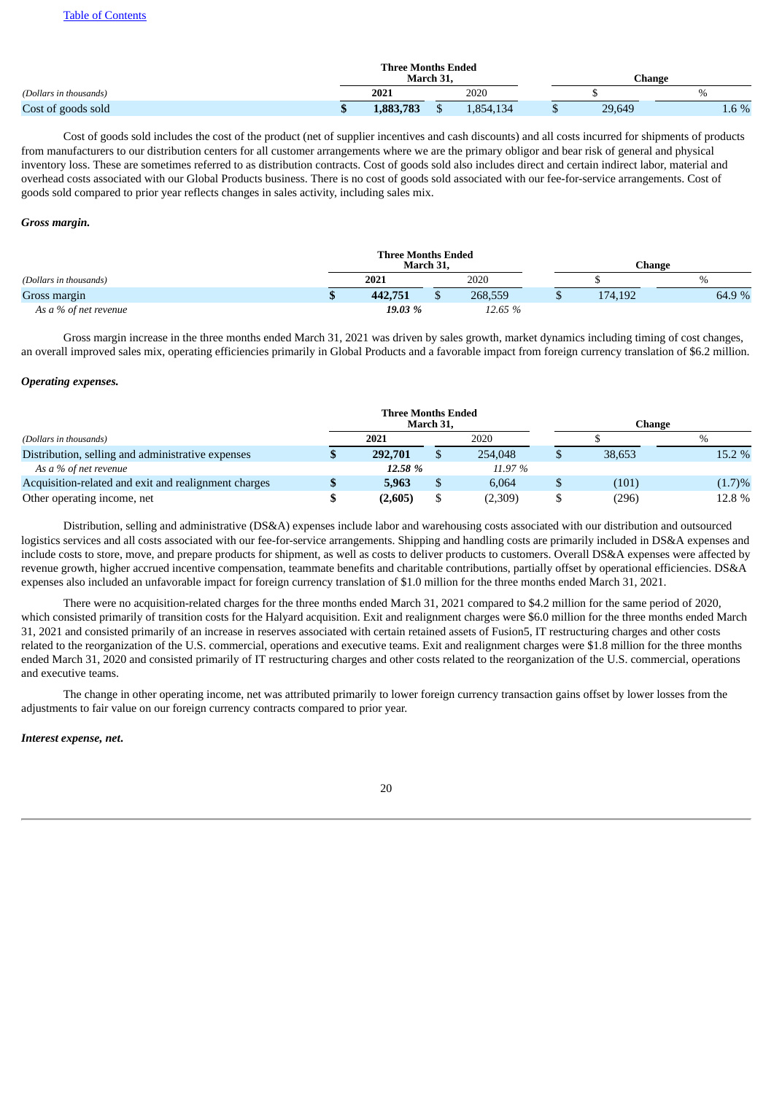|                        |  | <b>Three Months Ended</b><br>March 31. |      |           | Change |        |         |  |
|------------------------|--|----------------------------------------|------|-----------|--------|--------|---------|--|
| (Dollars in thousands) |  | 2021                                   | 2020 |           |        |        | $\%$    |  |
| Cost of goods sold     |  | 1,883,783                              |      | 1,854,134 |        | 29,649 | $1.6\%$ |  |

Cost of goods sold includes the cost of the product (net of supplier incentives and cash discounts) and all costs incurred for shipments of products from manufacturers to our distribution centers for all customer arrangements where we are the primary obligor and bear risk of general and physical inventory loss. These are sometimes referred to as distribution contracts. Cost of goods sold also includes direct and certain indirect labor, material and overhead costs associated with our Global Products business. There is no cost of goods sold associated with our fee-for-service arrangements. Cost of goods sold compared to prior year reflects changes in sales activity, including sales mix.

## *Gross margin.*

|                        |  |      | <b>Three Months Ended</b><br>March 31. |   |         | Change |         |        |  |
|------------------------|--|------|----------------------------------------|---|---------|--------|---------|--------|--|
| (Dollars in thousands) |  | 2021 |                                        |   | 2020    |        |         | $\%$   |  |
| Gross margin           |  | w    | 442,751                                | ω | 268,559 |        | 174.192 | 64.9 % |  |
| As a % of net revenue  |  |      | 19.03 %                                |   | 12.65 % |        |         |        |  |

Gross margin increase in the three months ended March 31, 2021 was driven by sales growth, market dynamics including timing of cost changes, an overall improved sales mix, operating efficiencies primarily in Global Products and a favorable impact from foreign currency translation of \$6.2 million.

#### *Operating expenses.*

|                                                      | <b>Three Months Ended</b> | March 31. |         | Change |        |        |  |
|------------------------------------------------------|---------------------------|-----------|---------|--------|--------|--------|--|
| (Dollars in thousands)                               | 2020<br>2021              |           |         |        |        | $\%$   |  |
| Distribution, selling and administrative expenses    | 292,701                   |           | 254,048 |        | 38.653 | 15.2 % |  |
| As a % of net revenue                                | 12.58%                    |           | 11.97 % |        |        |        |  |
| Acquisition-related and exit and realignment charges | 5.963                     |           | 6.064   |        | (101)  | (1.7)% |  |
| Other operating income, net                          | (2,605)                   |           | (2,309) |        | (296)  | 12.8 % |  |

Distribution, selling and administrative (DS&A) expenses include labor and warehousing costs associated with our distribution and outsourced logistics services and all costs associated with our fee-for-service arrangements. Shipping and handling costs are primarily included in DS&A expenses and include costs to store, move, and prepare products for shipment, as well as costs to deliver products to customers. Overall DS&A expenses were affected by revenue growth, higher accrued incentive compensation, teammate benefits and charitable contributions, partially offset by operational efficiencies. DS&A expenses also included an unfavorable impact for foreign currency translation of \$1.0 million for the three months ended March 31, 2021.

There were no acquisition-related charges for the three months ended March 31, 2021 compared to \$4.2 million for the same period of 2020, which consisted primarily of transition costs for the Halyard acquisition. Exit and realignment charges were \$6.0 million for the three months ended March 31, 2021 and consisted primarily of an increase in reserves associated with certain retained assets of Fusion5, IT restructuring charges and other costs related to the reorganization of the U.S. commercial, operations and executive teams. Exit and realignment charges were \$1.8 million for the three months ended March 31, 2020 and consisted primarily of IT restructuring charges and other costs related to the reorganization of the U.S. commercial, operations and executive teams.

The change in other operating income, net was attributed primarily to lower foreign currency transaction gains offset by lower losses from the adjustments to fair value on our foreign currency contracts compared to prior year.

*Interest expense, net***.**

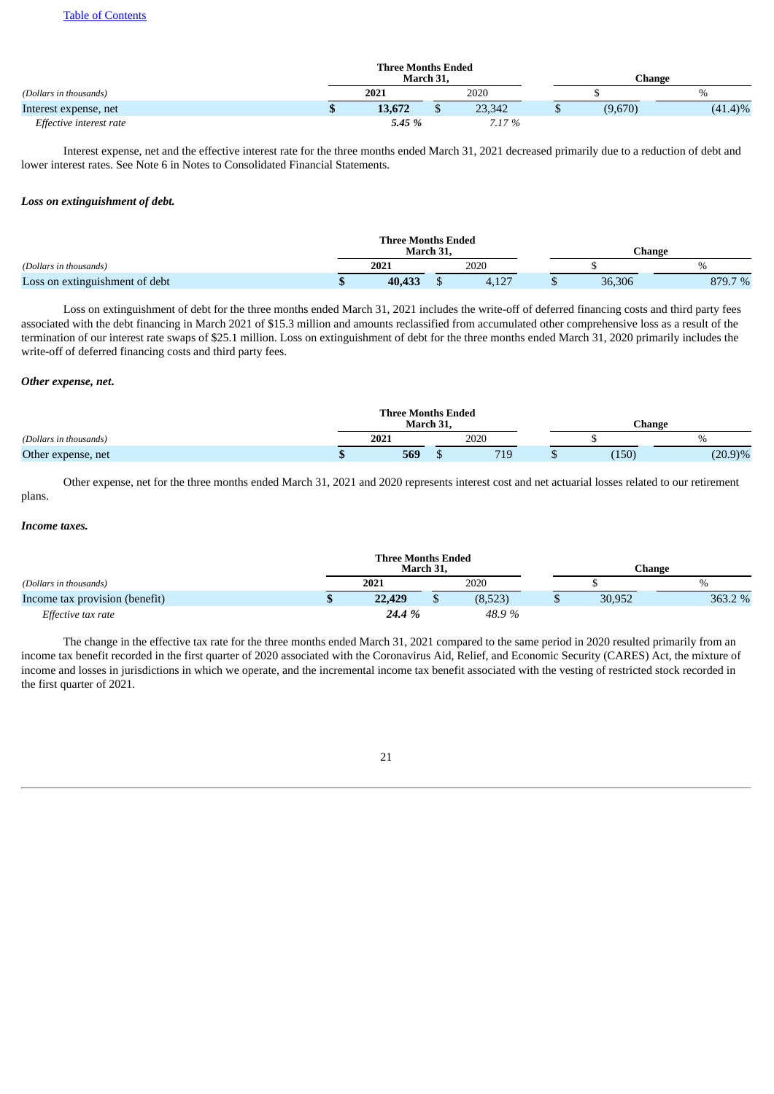## Table of [Contents](#page-0-0)

| (Dollars in thousands)  |  |      | <b>Three Months Ended</b><br>March 31. |  |        | Change |         |            |  |
|-------------------------|--|------|----------------------------------------|--|--------|--------|---------|------------|--|
|                         |  | 2021 |                                        |  | 2020   |        |         | $\%$       |  |
| Interest expense, net   |  |      | 13,672                                 |  | 23,342 |        | (9,670) | $(41.4)\%$ |  |
| Effective interest rate |  |      | 5.45 %                                 |  | 7.17 % |        |         |            |  |

Interest expense, net and the effective interest rate for the three months ended March 31, 2021 decreased primarily due to a reduction of debt and lower interest rates. See Note 6 in Notes to Consolidated Financial Statements.

#### *Loss on extinguishment of debt.*

|                                       |  |      | <b>Three Months Ended</b><br>March 31. |  |                 | Change |         |  |  |
|---------------------------------------|--|------|----------------------------------------|--|-----------------|--------|---------|--|--|
| (Dollars in thousands)                |  | 2021 |                                        |  | 2020            |        |         |  |  |
| <b>Loss on extinguishment of debt</b> |  |      | 40,433                                 |  | 4127<br>$+1.12$ | 36,306 | 879.7 % |  |  |

Loss on extinguishment of debt for the three months ended March 31, 2021 includes the write-off of deferred financing costs and third party fees associated with the debt financing in March 2021 of \$15.3 million and amounts reclassified from accumulated other comprehensive loss as a result of the termination of our interest rate swaps of \$25.1 million. Loss on extinguishment of debt for the three months ended March 31, 2020 primarily includes the write-off of deferred financing costs and third party fees.

#### *Other expense, net***.**

|                        | <b>Three Months Ended</b><br>March 31. |      | Change |         |  |  |
|------------------------|----------------------------------------|------|--------|---------|--|--|
| (Dollars in thousands) | 2021                                   | 2020 |        |         |  |  |
| Other expense, net     | 569                                    | 719  | (150)  | (20.9)% |  |  |

Other expense, net for the three months ended March 31, 2021 and 2020 represents interest cost and net actuarial losses related to our retirement plans.

#### *Income taxes.*

|                                |  | <b>Three Months Ended</b> | March 31. |         | Change |        |         |  |
|--------------------------------|--|---------------------------|-----------|---------|--------|--------|---------|--|
| (Dollars in thousands)         |  | 2021                      |           | 2020    |        |        | $\%$    |  |
| Income tax provision (benefit) |  | 22,429                    |           | (8,523) |        | 30,952 | 363.2 % |  |
| Effective tax rate             |  | 24.4 %                    |           | 48.9%   |        |        |         |  |

The change in the effective tax rate for the three months ended March 31, 2021 compared to the same period in 2020 resulted primarily from an income tax benefit recorded in the first quarter of 2020 associated with the Coronavirus Aid, Relief, and Economic Security (CARES) Act, the mixture of income and losses in jurisdictions in which we operate, and the incremental income tax benefit associated with the vesting of restricted stock recorded in the first quarter of 2021.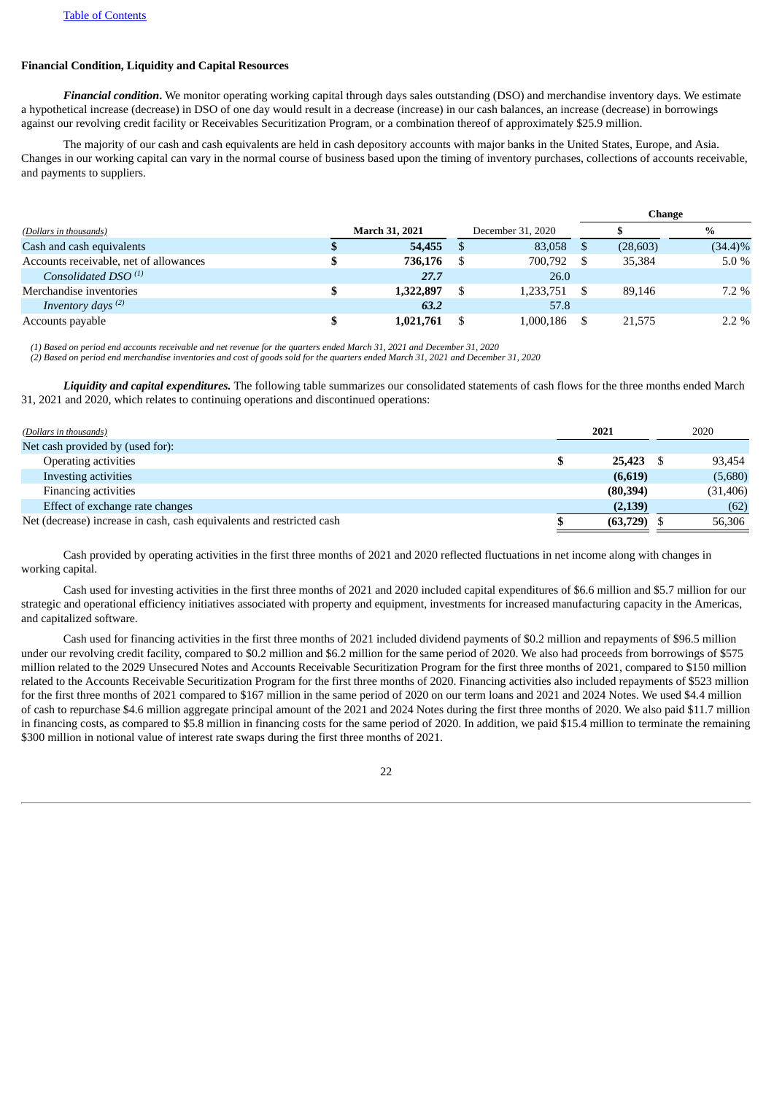# **Financial Condition, Liquidity and Capital Resources**

*Financial condition***.** We monitor operating working capital through days sales outstanding (DSO) and merchandise inventory days. We estimate a hypothetical increase (decrease) in DSO of one day would result in a decrease (increase) in our cash balances, an increase (decrease) in borrowings against our revolving credit facility or Receivables Securitization Program, or a combination thereof of approximately \$25.9 million.

The majority of our cash and cash equivalents are held in cash depository accounts with major banks in the United States, Europe, and Asia. Changes in our working capital can vary in the normal course of business based upon the timing of inventory purchases, collections of accounts receivable, and payments to suppliers.

|                                        |                       |                   | Change   |               |  |
|----------------------------------------|-----------------------|-------------------|----------|---------------|--|
| (Dollars in thousands)                 | <b>March 31, 2021</b> | December 31, 2020 |          | $\frac{9}{6}$ |  |
| Cash and cash equivalents              | 54,455                | 83,058            | (28,603) | $(34.4)\%$    |  |
| Accounts receivable, net of allowances | 736,176               | 700.792           | 35,384   | $5.0\%$       |  |
| Consolidated DSO $(1)$                 | 27.7                  | 26.0              |          |               |  |
| Merchandise inventories                | 1,322,897             | 1.233.751         | 89.146   | $7.2\%$       |  |
| Inventory days $(2)$                   | 63.2                  | 57.8              |          |               |  |
| Accounts payable                       | 1,021,761             | 1,000,186         | 21,575   | $2.2\%$       |  |

(1) Based on period end accounts receivable and net revenue for the quarters ended March 31, 2021 and December 31, 2020

(2) Based on period end merchandise inventories and cost of goods sold for the quarters ended March 31, 2021 and December 31, 2020

*Liquidity and capital expenditures.* The following table summarizes our consolidated statements of cash flows for the three months ended March 31, 2021 and 2020, which relates to continuing operations and discontinued operations:

| (Dollars in thousands)                                                | 2021          | 2020      |
|-----------------------------------------------------------------------|---------------|-----------|
| Net cash provided by (used for):                                      |               |           |
| <b>Operating activities</b>                                           | $25,423$ \$   | 93,454    |
| Investing activities                                                  | (6,619)       | (5,680)   |
| Financing activities                                                  | (80, 394)     | (31, 406) |
| Effect of exchange rate changes                                       | (2,139)       | (62)      |
| Net (decrease) increase in cash, cash equivalents and restricted cash | $(63,729)$ \$ | 56,306    |
|                                                                       |               |           |

Cash provided by operating activities in the first three months of 2021 and 2020 reflected fluctuations in net income along with changes in working capital.

Cash used for investing activities in the first three months of 2021 and 2020 included capital expenditures of \$6.6 million and \$5.7 million for our strategic and operational efficiency initiatives associated with property and equipment, investments for increased manufacturing capacity in the Americas, and capitalized software.

Cash used for financing activities in the first three months of 2021 included dividend payments of \$0.2 million and repayments of \$96.5 million under our revolving credit facility, compared to \$0.2 million and \$6.2 million for the same period of 2020. We also had proceeds from borrowings of \$575 million related to the 2029 Unsecured Notes and Accounts Receivable Securitization Program for the first three months of 2021, compared to \$150 million related to the Accounts Receivable Securitization Program for the first three months of 2020. Financing activities also included repayments of \$523 million for the first three months of 2021 compared to \$167 million in the same period of 2020 on our term loans and 2021 and 2024 Notes. We used \$4.4 million of cash to repurchase \$4.6 million aggregate principal amount of the 2021 and 2024 Notes during the first three months of 2020. We also paid \$11.7 million in financing costs, as compared to \$5.8 million in financing costs for the same period of 2020. In addition, we paid \$15.4 million to terminate the remaining \$300 million in notional value of interest rate swaps during the first three months of 2021.

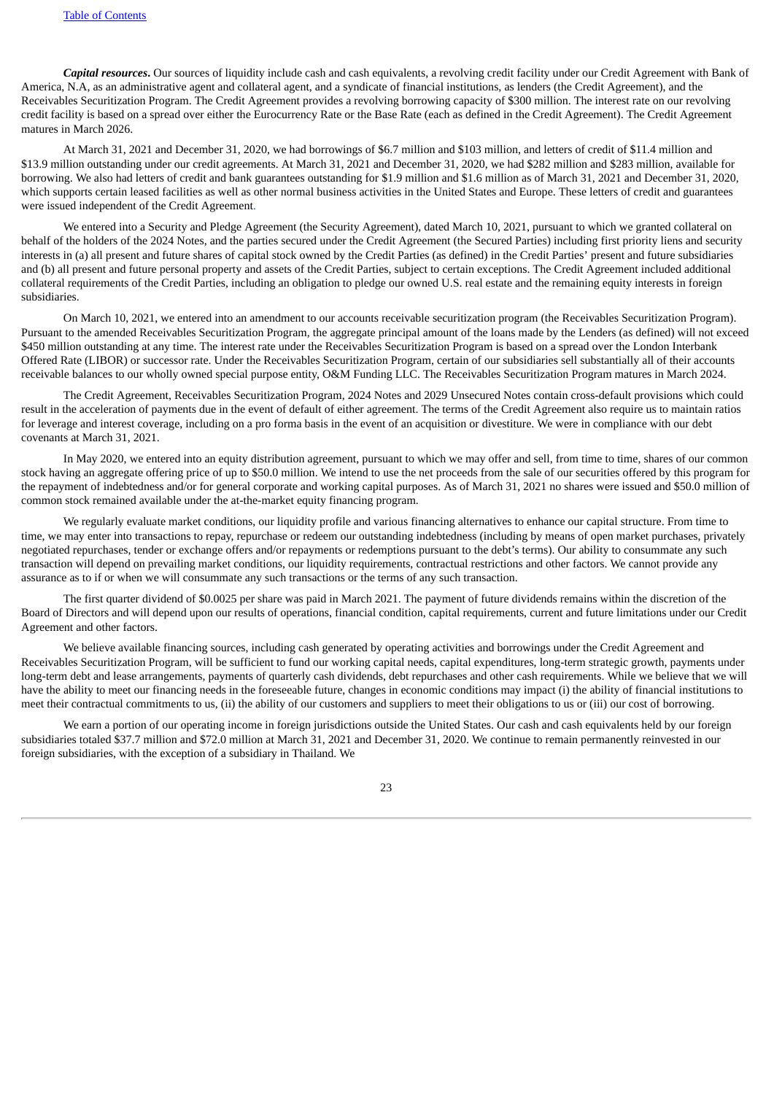*Capital resources***.** Our sources of liquidity include cash and cash equivalents, a revolving credit facility under our Credit Agreement with Bank of America, N.A, as an administrative agent and collateral agent, and a syndicate of financial institutions, as lenders (the Credit Agreement), and the Receivables Securitization Program. The Credit Agreement provides a revolving borrowing capacity of \$300 million. The interest rate on our revolving credit facility is based on a spread over either the Eurocurrency Rate or the Base Rate (each as defined in the Credit Agreement). The Credit Agreement matures in March 2026.

At March 31, 2021 and December 31, 2020, we had borrowings of \$6.7 million and \$103 million, and letters of credit of \$11.4 million and \$13.9 million outstanding under our credit agreements. At March 31, 2021 and December 31, 2020, we had \$282 million and \$283 million, available for borrowing. We also had letters of credit and bank guarantees outstanding for \$1.9 million and \$1.6 million as of March 31, 2021 and December 31, 2020, which supports certain leased facilities as well as other normal business activities in the United States and Europe. These letters of credit and guarantees were issued independent of the Credit Agreement.

We entered into a Security and Pledge Agreement (the Security Agreement), dated March 10, 2021, pursuant to which we granted collateral on behalf of the holders of the 2024 Notes, and the parties secured under the Credit Agreement (the Secured Parties) including first priority liens and security interests in (a) all present and future shares of capital stock owned by the Credit Parties (as defined) in the Credit Parties' present and future subsidiaries and (b) all present and future personal property and assets of the Credit Parties, subject to certain exceptions. The Credit Agreement included additional collateral requirements of the Credit Parties, including an obligation to pledge our owned U.S. real estate and the remaining equity interests in foreign subsidiaries.

On March 10, 2021, we entered into an amendment to our accounts receivable securitization program (the Receivables Securitization Program). Pursuant to the amended Receivables Securitization Program, the aggregate principal amount of the loans made by the Lenders (as defined) will not exceed \$450 million outstanding at any time. The interest rate under the Receivables Securitization Program is based on a spread over the London Interbank Offered Rate (LIBOR) or successor rate. Under the Receivables Securitization Program, certain of our subsidiaries sell substantially all of their accounts receivable balances to our wholly owned special purpose entity, O&M Funding LLC. The Receivables Securitization Program matures in March 2024.

The Credit Agreement, Receivables Securitization Program, 2024 Notes and 2029 Unsecured Notes contain cross-default provisions which could result in the acceleration of payments due in the event of default of either agreement. The terms of the Credit Agreement also require us to maintain ratios for leverage and interest coverage, including on a pro forma basis in the event of an acquisition or divestiture. We were in compliance with our debt covenants at March 31, 2021.

In May 2020, we entered into an equity distribution agreement, pursuant to which we may offer and sell, from time to time, shares of our common stock having an aggregate offering price of up to \$50.0 million. We intend to use the net proceeds from the sale of our securities offered by this program for the repayment of indebtedness and/or for general corporate and working capital purposes. As of March 31, 2021 no shares were issued and \$50.0 million of common stock remained available under the at-the-market equity financing program.

We regularly evaluate market conditions, our liquidity profile and various financing alternatives to enhance our capital structure. From time to time, we may enter into transactions to repay, repurchase or redeem our outstanding indebtedness (including by means of open market purchases, privately negotiated repurchases, tender or exchange offers and/or repayments or redemptions pursuant to the debt's terms). Our ability to consummate any such transaction will depend on prevailing market conditions, our liquidity requirements, contractual restrictions and other factors. We cannot provide any assurance as to if or when we will consummate any such transactions or the terms of any such transaction.

The first quarter dividend of \$0.0025 per share was paid in March 2021. The payment of future dividends remains within the discretion of the Board of Directors and will depend upon our results of operations, financial condition, capital requirements, current and future limitations under our Credit Agreement and other factors.

We believe available financing sources, including cash generated by operating activities and borrowings under the Credit Agreement and Receivables Securitization Program, will be sufficient to fund our working capital needs, capital expenditures, long-term strategic growth, payments under long-term debt and lease arrangements, payments of quarterly cash dividends, debt repurchases and other cash requirements. While we believe that we will have the ability to meet our financing needs in the foreseeable future, changes in economic conditions may impact (i) the ability of financial institutions to meet their contractual commitments to us, (ii) the ability of our customers and suppliers to meet their obligations to us or (iii) our cost of borrowing.

We earn a portion of our operating income in foreign jurisdictions outside the United States. Our cash and cash equivalents held by our foreign subsidiaries totaled \$37.7 million and \$72.0 million at March 31, 2021 and December 31, 2020. We continue to remain permanently reinvested in our foreign subsidiaries, with the exception of a subsidiary in Thailand. We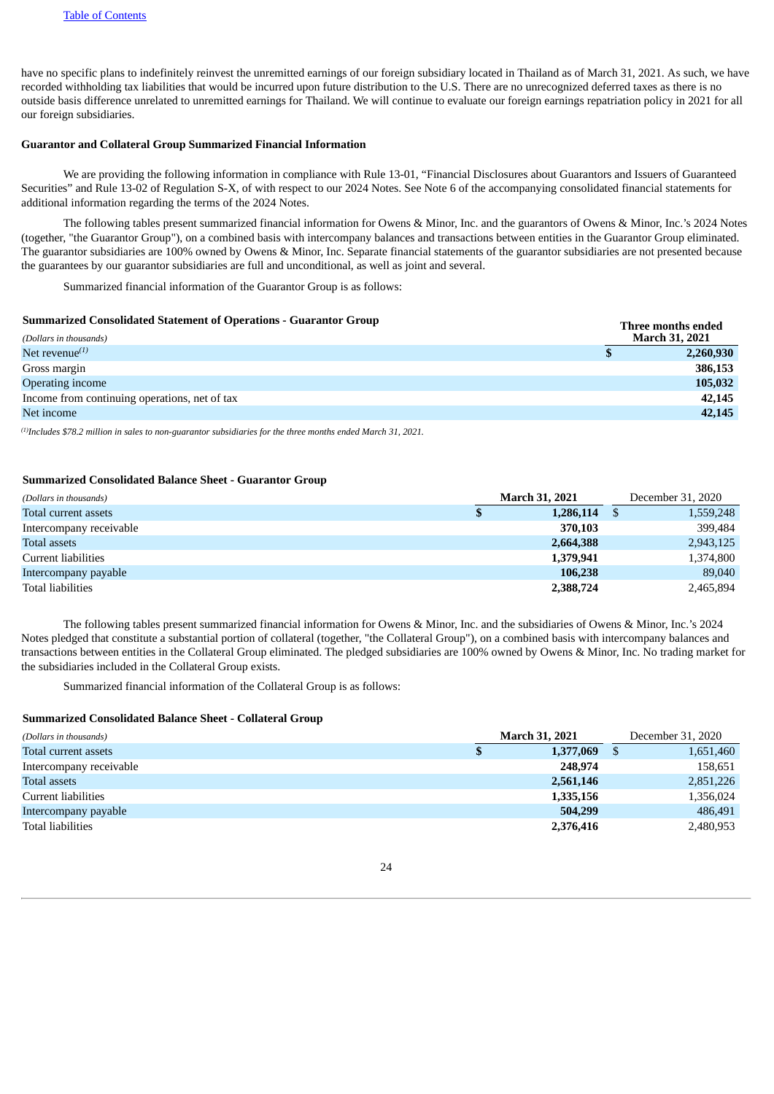have no specific plans to indefinitely reinvest the unremitted earnings of our foreign subsidiary located in Thailand as of March 31, 2021. As such, we have recorded withholding tax liabilities that would be incurred upon future distribution to the U.S. There are no unrecognized deferred taxes as there is no outside basis difference unrelated to unremitted earnings for Thailand. We will continue to evaluate our foreign earnings repatriation policy in 2021 for all our foreign subsidiaries.

### **Guarantor and Collateral Group Summarized Financial Information**

We are providing the following information in compliance with Rule 13-01, "Financial Disclosures about Guarantors and Issuers of Guaranteed Securities" and Rule 13-02 of Regulation S-X, of with respect to our 2024 Notes. See Note 6 of the accompanying consolidated financial statements for additional information regarding the terms of the 2024 Notes.

The following tables present summarized financial information for Owens & Minor, Inc. and the guarantors of Owens & Minor, Inc.'s 2024 Notes (together, "the Guarantor Group"), on a combined basis with intercompany balances and transactions between entities in the Guarantor Group eliminated. The guarantor subsidiaries are 100% owned by Owens & Minor, Inc. Separate financial statements of the guarantor subsidiaries are not presented because the guarantees by our guarantor subsidiaries are full and unconditional, as well as joint and several.

Summarized financial information of the Guarantor Group is as follows:

| <b>Summarized Consolidated Statement of Operations - Guarantor Group</b><br>(Dollars in thousands) | Three months ended<br><b>March 31, 2021</b> |
|----------------------------------------------------------------------------------------------------|---------------------------------------------|
| Net revenue $^{(1)}$                                                                               | 2,260,930                                   |
| Gross margin                                                                                       | 386,153                                     |
| <b>Operating income</b>                                                                            | 105,032                                     |
| Income from continuing operations, net of tax                                                      | 42,145                                      |
| Net income                                                                                         | 42,145                                      |
|                                                                                                    |                                             |

<sup>(1)</sup>Includes \$78.2 million in sales to non-guarantor subsidiaries for the three months ended March 31, 2021.

# **Summarized Consolidated Balance Sheet - Guarantor Group**

| (Dollars in thousands)  | <b>March 31, 2021</b> | December 31, 2020 |
|-------------------------|-----------------------|-------------------|
| Total current assets    | 1,286,114             | 1,559,248         |
| Intercompany receivable | 370,103               | 399,484           |
| <b>Total assets</b>     | 2,664,388             | 2,943,125         |
| Current liabilities     | 1,379,941             | 1,374,800         |
| Intercompany payable    | 106,238               | 89,040            |
| Total liabilities       | 2,388,724             | 2,465,894         |

The following tables present summarized financial information for Owens & Minor, Inc. and the subsidiaries of Owens & Minor, Inc.'s 2024 Notes pledged that constitute a substantial portion of collateral (together, "the Collateral Group"), on a combined basis with intercompany balances and transactions between entities in the Collateral Group eliminated. The pledged subsidiaries are 100% owned by Owens & Minor, Inc. No trading market for the subsidiaries included in the Collateral Group exists.

Summarized financial information of the Collateral Group is as follows:

#### **Summarized Consolidated Balance Sheet - Collateral Group**

| (Dollars in thousands)  |   | <b>March 31, 2021</b> | December 31, 2020 |
|-------------------------|---|-----------------------|-------------------|
| Total current assets    | Φ | 1,377,069             | 1,651,460         |
| Intercompany receivable |   | 248,974               | 158,651           |
| Total assets            |   | 2,561,146             | 2,851,226         |
| Current liabilities     |   | 1,335,156             | 1,356,024         |
| Intercompany payable    |   | 504,299               | 486,491           |
| Total liabilities       |   | 2,376,416             | 2,480,953         |

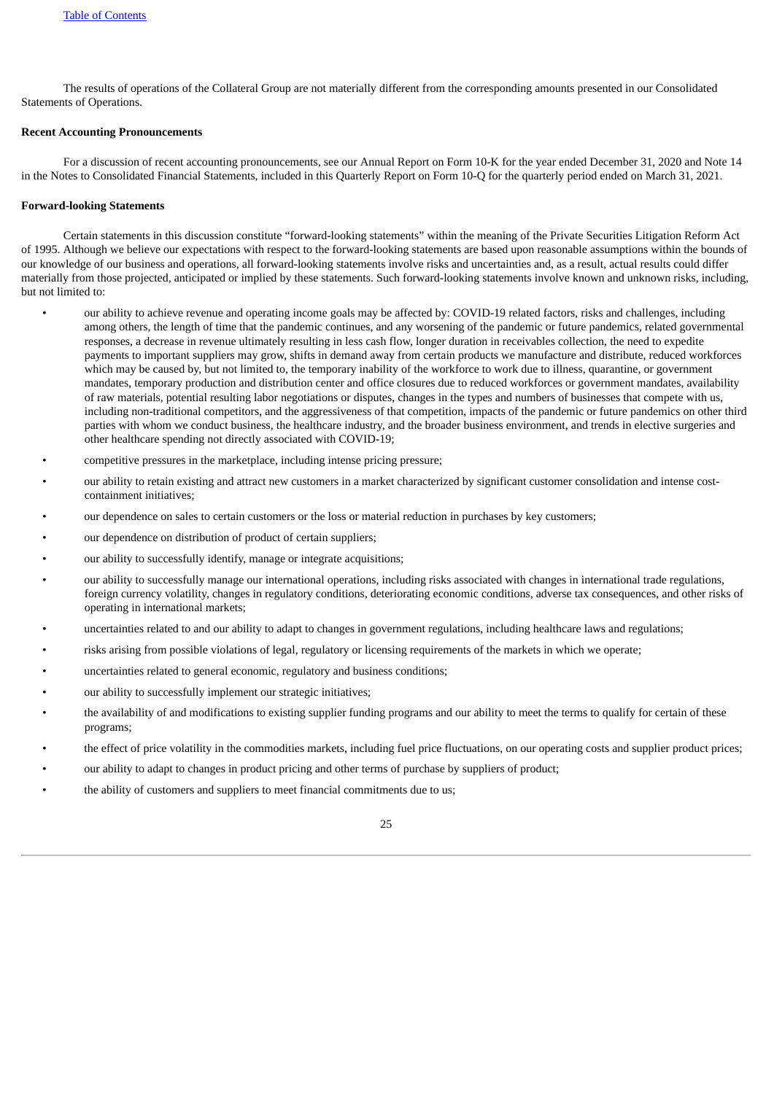The results of operations of the Collateral Group are not materially different from the corresponding amounts presented in our Consolidated Statements of Operations.

#### **Recent Accounting Pronouncements**

For a discussion of recent accounting pronouncements, see our Annual Report on Form 10-K for the year ended December 31, 2020 and Note 14 in the Notes to Consolidated Financial Statements, included in this Quarterly Report on Form 10-Q for the quarterly period ended on March 31, 2021.

#### **Forward-looking Statements**

Certain statements in this discussion constitute "forward-looking statements" within the meaning of the Private Securities Litigation Reform Act of 1995. Although we believe our expectations with respect to the forward-looking statements are based upon reasonable assumptions within the bounds of our knowledge of our business and operations, all forward-looking statements involve risks and uncertainties and, as a result, actual results could differ materially from those projected, anticipated or implied by these statements. Such forward-looking statements involve known and unknown risks, including, but not limited to:

- our ability to achieve revenue and operating income goals may be affected by: COVID-19 related factors, risks and challenges, including among others, the length of time that the pandemic continues, and any worsening of the pandemic or future pandemics, related governmental responses, a decrease in revenue ultimately resulting in less cash flow, longer duration in receivables collection, the need to expedite payments to important suppliers may grow, shifts in demand away from certain products we manufacture and distribute, reduced workforces which may be caused by, but not limited to, the temporary inability of the workforce to work due to illness, quarantine, or government mandates, temporary production and distribution center and office closures due to reduced workforces or government mandates, availability of raw materials, potential resulting labor negotiations or disputes, changes in the types and numbers of businesses that compete with us, including non-traditional competitors, and the aggressiveness of that competition, impacts of the pandemic or future pandemics on other third parties with whom we conduct business, the healthcare industry, and the broader business environment, and trends in elective surgeries and other healthcare spending not directly associated with COVID-19;
- competitive pressures in the marketplace, including intense pricing pressure;
- our ability to retain existing and attract new customers in a market characterized by significant customer consolidation and intense costcontainment initiatives;
- our dependence on sales to certain customers or the loss or material reduction in purchases by key customers;
- our dependence on distribution of product of certain suppliers;
- our ability to successfully identify, manage or integrate acquisitions;
- our ability to successfully manage our international operations, including risks associated with changes in international trade regulations, foreign currency volatility, changes in regulatory conditions, deteriorating economic conditions, adverse tax consequences, and other risks of operating in international markets;
- uncertainties related to and our ability to adapt to changes in government regulations, including healthcare laws and regulations;
- risks arising from possible violations of legal, regulatory or licensing requirements of the markets in which we operate;
- uncertainties related to general economic, regulatory and business conditions;
- our ability to successfully implement our strategic initiatives;
- the availability of and modifications to existing supplier funding programs and our ability to meet the terms to qualify for certain of these programs;
- the effect of price volatility in the commodities markets, including fuel price fluctuations, on our operating costs and supplier product prices;
- our ability to adapt to changes in product pricing and other terms of purchase by suppliers of product;
- the ability of customers and suppliers to meet financial commitments due to us;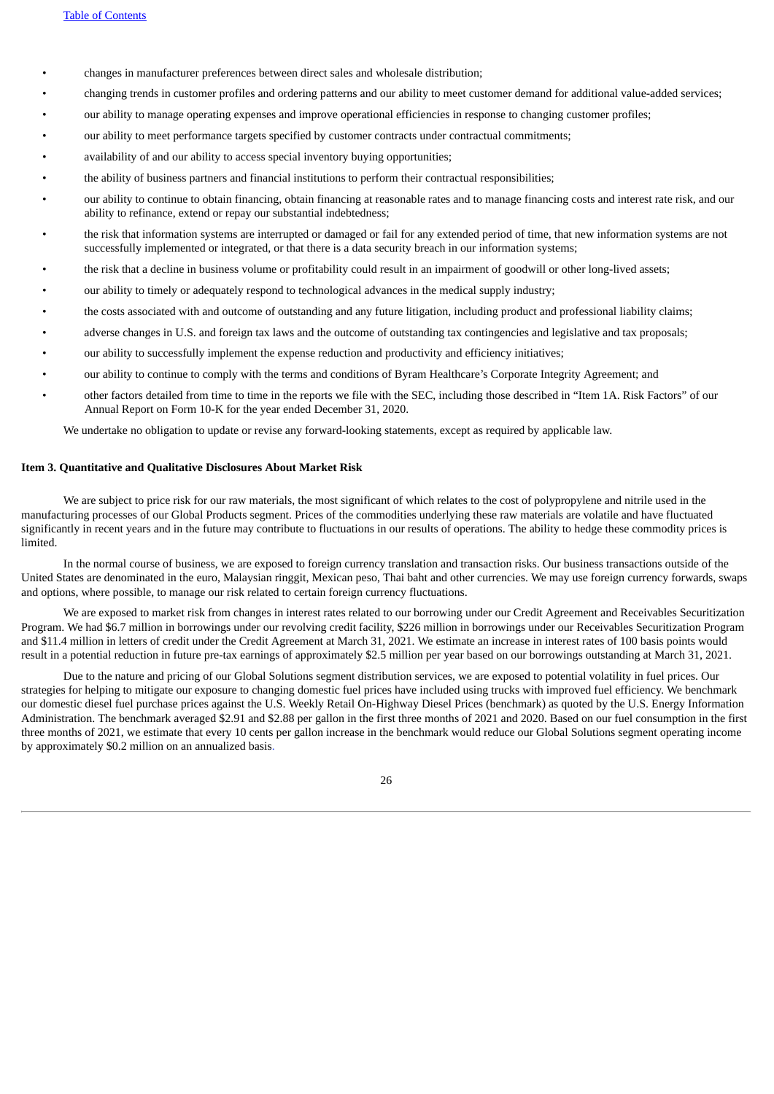- changes in manufacturer preferences between direct sales and wholesale distribution;
- changing trends in customer profiles and ordering patterns and our ability to meet customer demand for additional value-added services;
- our ability to manage operating expenses and improve operational efficiencies in response to changing customer profiles;
- our ability to meet performance targets specified by customer contracts under contractual commitments;
- availability of and our ability to access special inventory buying opportunities;
- the ability of business partners and financial institutions to perform their contractual responsibilities;
- our ability to continue to obtain financing, obtain financing at reasonable rates and to manage financing costs and interest rate risk, and our ability to refinance, extend or repay our substantial indebtedness;
- the risk that information systems are interrupted or damaged or fail for any extended period of time, that new information systems are not successfully implemented or integrated, or that there is a data security breach in our information systems;
- the risk that a decline in business volume or profitability could result in an impairment of goodwill or other long-lived assets;
- our ability to timely or adequately respond to technological advances in the medical supply industry;
- the costs associated with and outcome of outstanding and any future litigation, including product and professional liability claims;
- adverse changes in U.S. and foreign tax laws and the outcome of outstanding tax contingencies and legislative and tax proposals;
- our ability to successfully implement the expense reduction and productivity and efficiency initiatives;
- our ability to continue to comply with the terms and conditions of Byram Healthcare's Corporate Integrity Agreement; and
- other factors detailed from time to time in the reports we file with the SEC, including those described in "Item 1A. Risk Factors" of our Annual Report on Form 10-K for the year ended December 31, 2020.

We undertake no obligation to update or revise any forward-looking statements, except as required by applicable law.

#### <span id="page-25-0"></span>**Item 3. Quantitative and Qualitative Disclosures About Market Risk**

We are subject to price risk for our raw materials, the most significant of which relates to the cost of polypropylene and nitrile used in the manufacturing processes of our Global Products segment. Prices of the commodities underlying these raw materials are volatile and have fluctuated significantly in recent years and in the future may contribute to fluctuations in our results of operations. The ability to hedge these commodity prices is limited.

In the normal course of business, we are exposed to foreign currency translation and transaction risks. Our business transactions outside of the United States are denominated in the euro, Malaysian ringgit, Mexican peso, Thai baht and other currencies. We may use foreign currency forwards, swaps and options, where possible, to manage our risk related to certain foreign currency fluctuations.

We are exposed to market risk from changes in interest rates related to our borrowing under our Credit Agreement and Receivables Securitization Program. We had \$6.7 million in borrowings under our revolving credit facility, \$226 million in borrowings under our Receivables Securitization Program and \$11.4 million in letters of credit under the Credit Agreement at March 31, 2021. We estimate an increase in interest rates of 100 basis points would result in a potential reduction in future pre-tax earnings of approximately \$2.5 million per year based on our borrowings outstanding at March 31, 2021.

Due to the nature and pricing of our Global Solutions segment distribution services, we are exposed to potential volatility in fuel prices. Our strategies for helping to mitigate our exposure to changing domestic fuel prices have included using trucks with improved fuel efficiency. We benchmark our domestic diesel fuel purchase prices against the U.S. Weekly Retail On-Highway Diesel Prices (benchmark) as quoted by the U.S. Energy Information Administration. The benchmark averaged \$2.91 and \$2.88 per gallon in the first three months of 2021 and 2020. Based on our fuel consumption in the first three months of 2021, we estimate that every 10 cents per gallon increase in the benchmark would reduce our Global Solutions segment operating income by approximately \$0.2 million on an annualized basis.

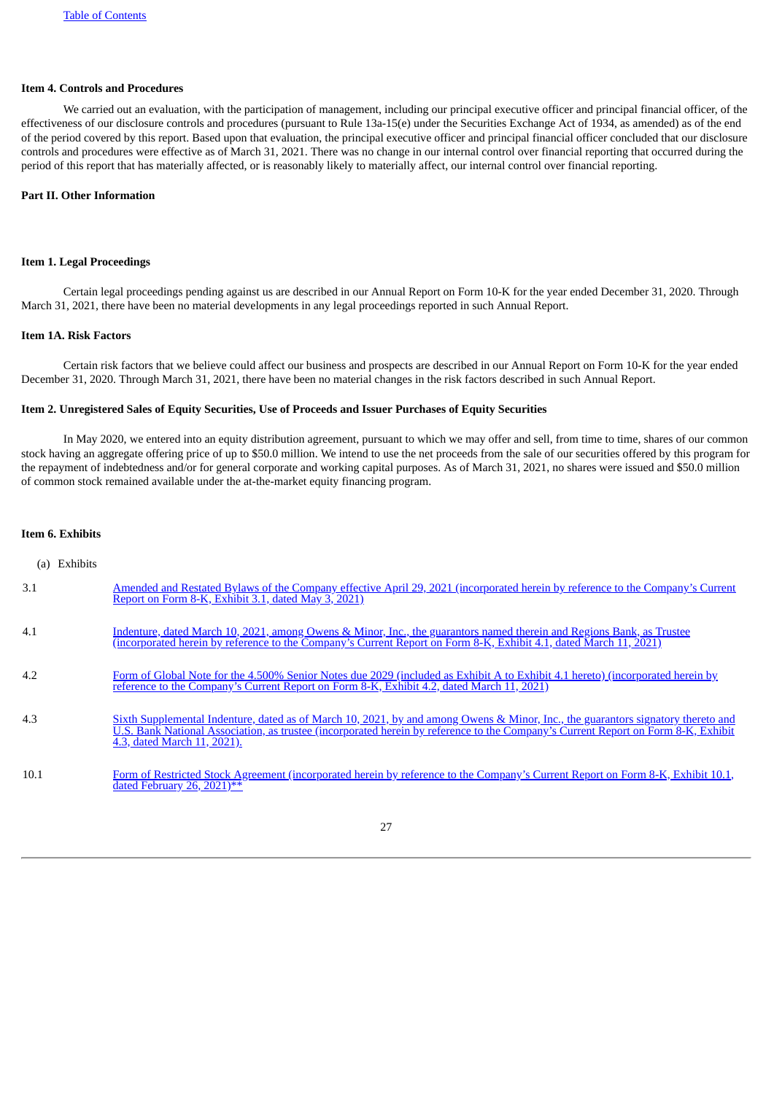#### <span id="page-26-0"></span>**Item 4. Controls and Procedures**

We carried out an evaluation, with the participation of management, including our principal executive officer and principal financial officer, of the effectiveness of our disclosure controls and procedures (pursuant to Rule 13a-15(e) under the Securities Exchange Act of 1934, as amended) as of the end of the period covered by this report. Based upon that evaluation, the principal executive officer and principal financial officer concluded that our disclosure controls and procedures were effective as of March 31, 2021. There was no change in our internal control over financial reporting that occurred during the period of this report that has materially affected, or is reasonably likely to materially affect, our internal control over financial reporting.

#### <span id="page-26-1"></span>**Part II. Other Information**

#### <span id="page-26-2"></span>**Item 1. Legal Proceedings**

Certain legal proceedings pending against us are described in our Annual Report on Form 10-K for the year ended December 31, 2020. Through March 31, 2021, there have been no material developments in any legal proceedings reported in such Annual Report.

# <span id="page-26-3"></span>**Item 1A. Risk Factors**

Certain risk factors that we believe could affect our business and prospects are described in our Annual Report on Form 10-K for the year ended December 31, 2020. Through March 31, 2021, there have been no material changes in the risk factors described in such Annual Report.

# <span id="page-26-4"></span>**Item 2. Unregistered Sales of Equity Securities, Use of Proceeds and Issuer Purchases of Equity Securities**

In May 2020, we entered into an equity distribution agreement, pursuant to which we may offer and sell, from time to time, shares of our common stock having an aggregate offering price of up to \$50.0 million. We intend to use the net proceeds from the sale of our securities offered by this program for the repayment of indebtedness and/or for general corporate and working capital purposes. As of March 31, 2021, no shares were issued and \$50.0 million of common stock remained available under the at-the-market equity financing program.

# <span id="page-26-5"></span>**Item 6. Exhibits**

| 3.1  | Amended and Restated Bylaws of the Company effective April 29, 2021 (incorporated herein by reference to the Company's Current<br>Report on Form 8-K, Exhibit 3.1, dated May 3, 2021)                                                                                                                |
|------|------------------------------------------------------------------------------------------------------------------------------------------------------------------------------------------------------------------------------------------------------------------------------------------------------|
| 4.1  | Indenture, dated March 10, 2021, among Owens & Minor, Inc., the guarantors named therein and Regions Bank, as Trustee<br><u>(incorporated herein by reference to the Company's Current Report on Form 8-K, Exhibit 4.1, dated March 11, 2021)</u>                                                    |
| 4.2  | Form of Global Note for the 4.500% Senior Notes due 2029 (included as Exhibit A to Exhibit 4.1 hereto) (incorporated herein by<br>reference to the Company's Current Report on Form 8-K, Exhibit 4.2, dated March 11, 2021)                                                                          |
| 4.3  | Sixth Supplemental Indenture, dated as of March 10, 2021, by and among Owens & Minor, Inc., the guarantors signatory thereto and<br>U.S. Bank National Association, as trustee (incorporated herein by reference to the Company's Current Report on Form 8-K, Exhibit<br>4.3, dated March 11, 2021). |
| 10.1 | Form of Restricted Stock Agreement (incorporated herein by reference to the Company's Current Report on Form 8-K, Exhibit 10.1,<br>dated February 26, 2021)**                                                                                                                                        |

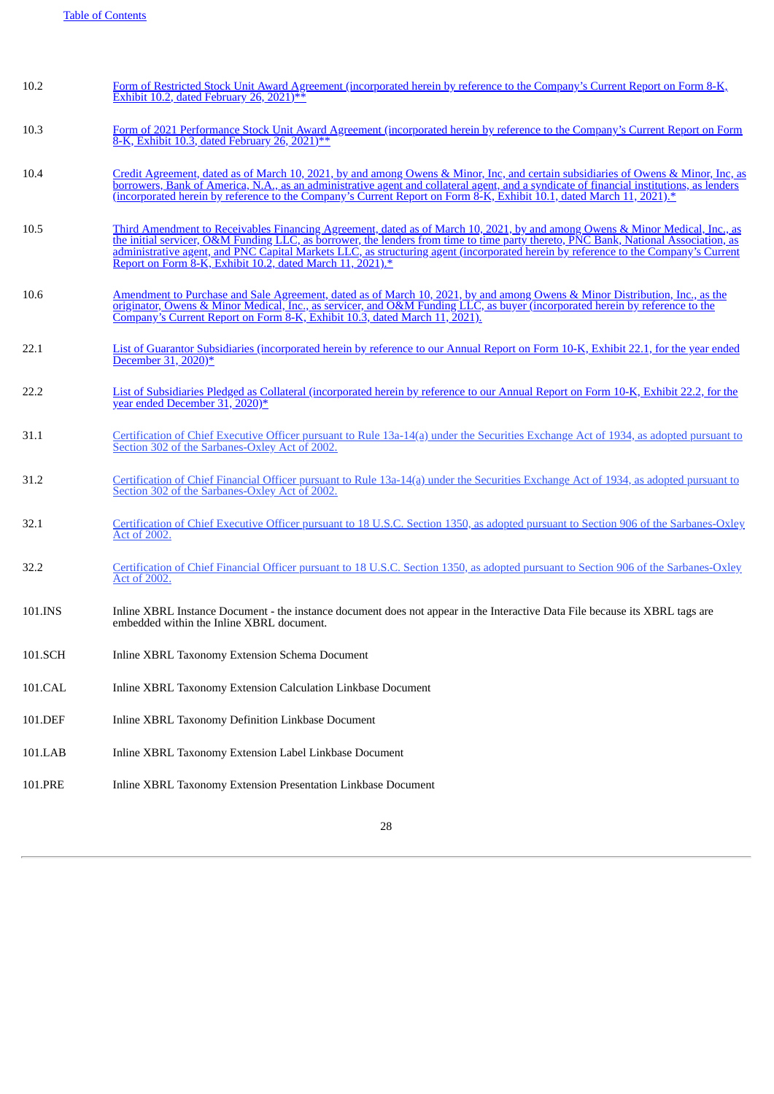| 10.2    | Form of Restricted Stock Unit Award Agreement (incorporated herein by reference to the Company's Current Report on Form 8-K,<br>Exhibit 10.2, dated February 26, 2021)**                                                                                                                                                                                                                                                                                               |
|---------|------------------------------------------------------------------------------------------------------------------------------------------------------------------------------------------------------------------------------------------------------------------------------------------------------------------------------------------------------------------------------------------------------------------------------------------------------------------------|
| 10.3    | Form of 2021 Performance Stock Unit Award Agreement (incorporated herein by reference to the Company's Current Report on Form<br>8-K, Exhibit 10.3, dated February 26, 2021)**                                                                                                                                                                                                                                                                                         |
| 10.4    | Credit Agreement, dated as of March 10, 2021, by and among Owens & Minor, Inc, and certain subsidiaries of Owens & Minor, Inc, as<br>borrowers, Bank of America, N.A., as an administrative agent and collateral agent, and a syndicate of financial institutions, as lenders<br>(incorporated herein by reference to the Company's Current Report on Form 8-K, Exhibit 10.1, dated March 11, 2021).*                                                                  |
| 10.5    | Third Amendment to Receivables Financing Agreement, dated as of March 10, 2021, by and among Owens & Minor Medical, Inc., as<br>the initial servicer, O&M Funding LLC, as borrower, the lenders from time to time party thereto, PNC Bank, National Association, as<br>administrative agent, and PNC Capital Markets LLC, as structuring agent (incorporated herein by reference to the Company's Current<br>Report on Form 8-K, Exhibit 10.2, dated March 11, 2021).* |
| 10.6    | Amendment to Purchase and Sale Agreement, dated as of March 10, 2021, by and among Owens & Minor Distribution, Inc., as the<br>originator, Owens & Minor Medical, Inc., as servicer, and O&M Funding LLC, as buyer (incorporated herein by reference to the<br>Company's Current Report on Form 8-K, Exhibit 10.3, dated March 11, 2021).                                                                                                                              |
| 22.1    | List of Guarantor Subsidiaries (incorporated herein by reference to our Annual Report on Form 10-K, Exhibit 22.1, for the year ended<br>December 31, 2020)*                                                                                                                                                                                                                                                                                                            |
| 22.2    | List of Subsidiaries Pledged as Collateral (incorporated herein by reference to our Annual Report on Form 10-K, Exhibit 22.2, for the<br>year ended December 31, 2020)*                                                                                                                                                                                                                                                                                                |
| 31.1    | Certification of Chief Executive Officer pursuant to Rule 13a-14(a) under the Securities Exchange Act of 1934, as adopted pursuant to<br>Section 302 of the Sarbanes-Oxley Act of 2002.                                                                                                                                                                                                                                                                                |
| 31.2    | Certification of Chief Financial Officer pursuant to Rule 13a-14(a) under the Securities Exchange Act of 1934, as adopted pursuant to<br>Section 302 of the Sarbanes-Oxley Act of 2002.                                                                                                                                                                                                                                                                                |
| 32.1    | Certification of Chief Executive Officer pursuant to 18 U.S.C. Section 1350, as adopted pursuant to Section 906 of the Sarbanes-Oxley<br>Act of 2002.                                                                                                                                                                                                                                                                                                                  |
| 32.2    | Certification of Chief Financial Officer pursuant to 18 U.S.C. Section 1350, as adopted pursuant to Section 906 of the Sarbanes-Oxley<br>Act of 2002.                                                                                                                                                                                                                                                                                                                  |
| 101.INS | Inline XBRL Instance Document - the instance document does not appear in the Interactive Data File because its XBRL tags are<br>embedded within the Inline XBRL document.                                                                                                                                                                                                                                                                                              |
| 101.SCH | Inline XBRL Taxonomy Extension Schema Document                                                                                                                                                                                                                                                                                                                                                                                                                         |
| 101.CAL | Inline XBRL Taxonomy Extension Calculation Linkbase Document                                                                                                                                                                                                                                                                                                                                                                                                           |
| 101.DEF | Inline XBRL Taxonomy Definition Linkbase Document                                                                                                                                                                                                                                                                                                                                                                                                                      |
| 101.LAB | Inline XBRL Taxonomy Extension Label Linkbase Document                                                                                                                                                                                                                                                                                                                                                                                                                 |
| 101.PRE | Inline XBRL Taxonomy Extension Presentation Linkbase Document                                                                                                                                                                                                                                                                                                                                                                                                          |
|         |                                                                                                                                                                                                                                                                                                                                                                                                                                                                        |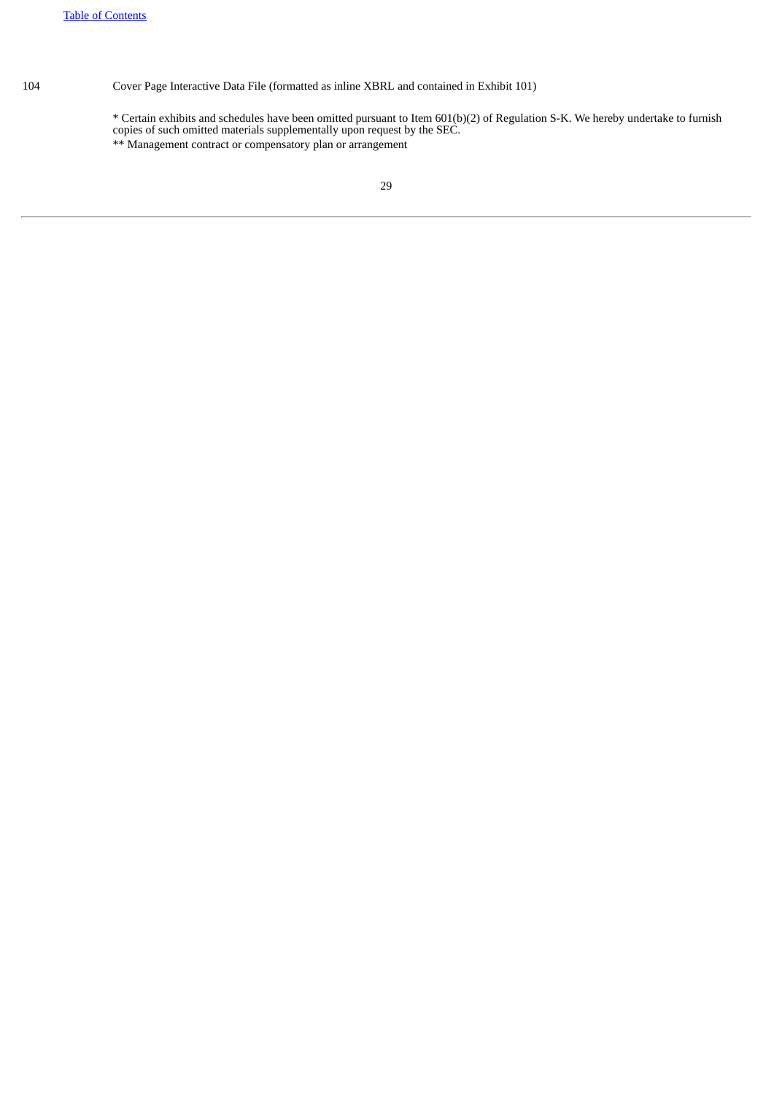104 Cover Page Interactive Data File (formatted as inline XBRL and contained in Exhibit 101)

\* Certain exhibits and schedules have been omitted pursuant to Item 601(b)(2) of Regulation S-K. We hereby undertake to furnish copies of such omitted materials supplementally upon request by the SEC. \*\* Management contract or compensatory plan or arrangement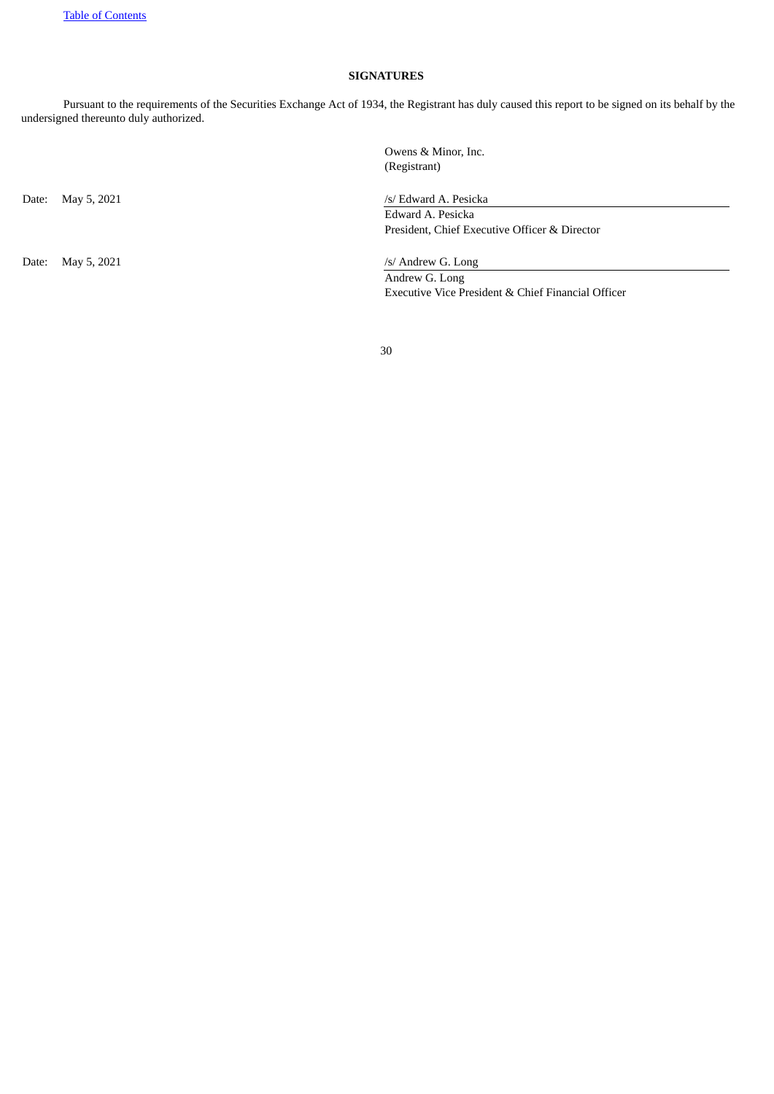# **SIGNATURES**

Pursuant to the requirements of the Securities Exchange Act of 1934, the Registrant has duly caused this report to be signed on its behalf by the undersigned thereunto duly authorized.

Date: May 5, 2021 /s/ Edward A. Pesicka

Date: May 5, 2021 /s/ Andrew G. Long

Owens & Minor, Inc. (Registrant)

Edward A. Pesicka President, Chief Executive Officer & Director

Andrew G. Long Executive Vice President & Chief Financial Officer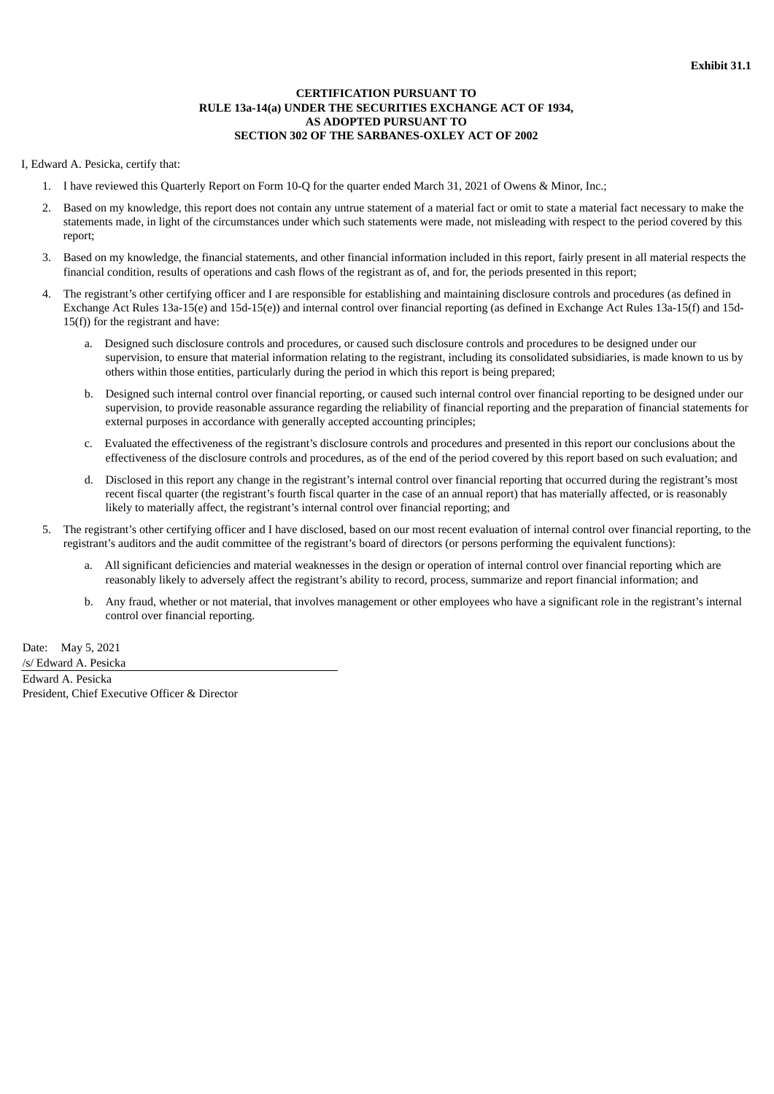# **CERTIFICATION PURSUANT TO RULE 13a-14(a) UNDER THE SECURITIES EXCHANGE ACT OF 1934, AS ADOPTED PURSUANT TO SECTION 302 OF THE SARBANES-OXLEY ACT OF 2002**

<span id="page-30-0"></span>I, Edward A. Pesicka, certify that:

- 1. I have reviewed this Quarterly Report on Form 10-Q for the quarter ended March 31, 2021 of Owens & Minor, Inc.;
- 2. Based on my knowledge, this report does not contain any untrue statement of a material fact or omit to state a material fact necessary to make the statements made, in light of the circumstances under which such statements were made, not misleading with respect to the period covered by this report;
- 3. Based on my knowledge, the financial statements, and other financial information included in this report, fairly present in all material respects the financial condition, results of operations and cash flows of the registrant as of, and for, the periods presented in this report;
- 4. The registrant's other certifying officer and I are responsible for establishing and maintaining disclosure controls and procedures (as defined in Exchange Act Rules 13a-15(e) and 15d-15(e)) and internal control over financial reporting (as defined in Exchange Act Rules 13a-15(f) and 15d-15(f)) for the registrant and have:
	- a. Designed such disclosure controls and procedures, or caused such disclosure controls and procedures to be designed under our supervision, to ensure that material information relating to the registrant, including its consolidated subsidiaries, is made known to us by others within those entities, particularly during the period in which this report is being prepared;
	- b. Designed such internal control over financial reporting, or caused such internal control over financial reporting to be designed under our supervision, to provide reasonable assurance regarding the reliability of financial reporting and the preparation of financial statements for external purposes in accordance with generally accepted accounting principles;
	- c. Evaluated the effectiveness of the registrant's disclosure controls and procedures and presented in this report our conclusions about the effectiveness of the disclosure controls and procedures, as of the end of the period covered by this report based on such evaluation; and
	- d. Disclosed in this report any change in the registrant's internal control over financial reporting that occurred during the registrant's most recent fiscal quarter (the registrant's fourth fiscal quarter in the case of an annual report) that has materially affected, or is reasonably likely to materially affect, the registrant's internal control over financial reporting; and
- 5. The registrant's other certifying officer and I have disclosed, based on our most recent evaluation of internal control over financial reporting, to the registrant's auditors and the audit committee of the registrant's board of directors (or persons performing the equivalent functions):
	- a. All significant deficiencies and material weaknesses in the design or operation of internal control over financial reporting which are reasonably likely to adversely affect the registrant's ability to record, process, summarize and report financial information; and
	- b. Any fraud, whether or not material, that involves management or other employees who have a significant role in the registrant's internal control over financial reporting.

Date: May 5, 2021 /s/ Edward A. Pesicka Edward A. Pesicka President, Chief Executive Officer & Director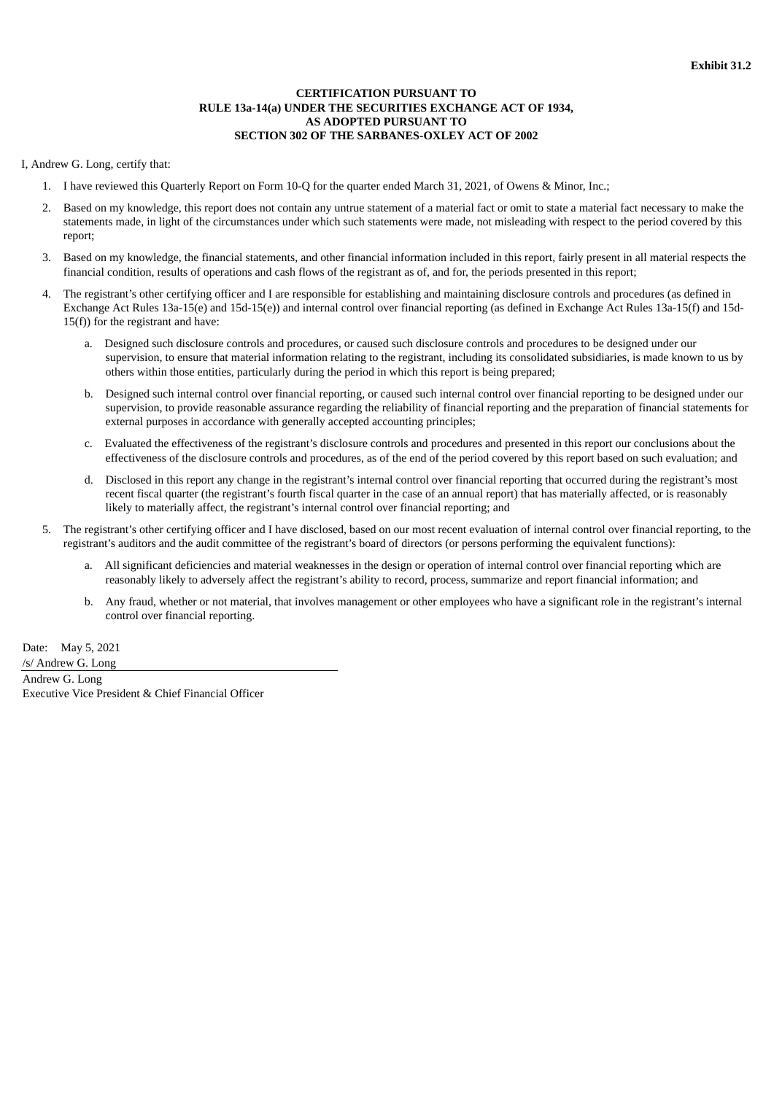# **CERTIFICATION PURSUANT TO RULE 13a-14(a) UNDER THE SECURITIES EXCHANGE ACT OF 1934, AS ADOPTED PURSUANT TO SECTION 302 OF THE SARBANES-OXLEY ACT OF 2002**

# <span id="page-31-0"></span>I, Andrew G. Long, certify that:

- 1. I have reviewed this Quarterly Report on Form 10-Q for the quarter ended March 31, 2021, of Owens & Minor, Inc.;
- 2. Based on my knowledge, this report does not contain any untrue statement of a material fact or omit to state a material fact necessary to make the statements made, in light of the circumstances under which such statements were made, not misleading with respect to the period covered by this report;
- 3. Based on my knowledge, the financial statements, and other financial information included in this report, fairly present in all material respects the financial condition, results of operations and cash flows of the registrant as of, and for, the periods presented in this report;
- 4. The registrant's other certifying officer and I are responsible for establishing and maintaining disclosure controls and procedures (as defined in Exchange Act Rules 13a-15(e) and 15d-15(e)) and internal control over financial reporting (as defined in Exchange Act Rules 13a-15(f) and 15d-15(f)) for the registrant and have:
	- a. Designed such disclosure controls and procedures, or caused such disclosure controls and procedures to be designed under our supervision, to ensure that material information relating to the registrant, including its consolidated subsidiaries, is made known to us by others within those entities, particularly during the period in which this report is being prepared;
	- b. Designed such internal control over financial reporting, or caused such internal control over financial reporting to be designed under our supervision, to provide reasonable assurance regarding the reliability of financial reporting and the preparation of financial statements for external purposes in accordance with generally accepted accounting principles;
	- c. Evaluated the effectiveness of the registrant's disclosure controls and procedures and presented in this report our conclusions about the effectiveness of the disclosure controls and procedures, as of the end of the period covered by this report based on such evaluation; and
	- d. Disclosed in this report any change in the registrant's internal control over financial reporting that occurred during the registrant's most recent fiscal quarter (the registrant's fourth fiscal quarter in the case of an annual report) that has materially affected, or is reasonably likely to materially affect, the registrant's internal control over financial reporting; and
- 5. The registrant's other certifying officer and I have disclosed, based on our most recent evaluation of internal control over financial reporting, to the registrant's auditors and the audit committee of the registrant's board of directors (or persons performing the equivalent functions):
	- a. All significant deficiencies and material weaknesses in the design or operation of internal control over financial reporting which are reasonably likely to adversely affect the registrant's ability to record, process, summarize and report financial information; and
	- b. Any fraud, whether or not material, that involves management or other employees who have a significant role in the registrant's internal control over financial reporting.

Date: May 5, 2021 /s/ Andrew G. Long Andrew G. Long Executive Vice President & Chief Financial Officer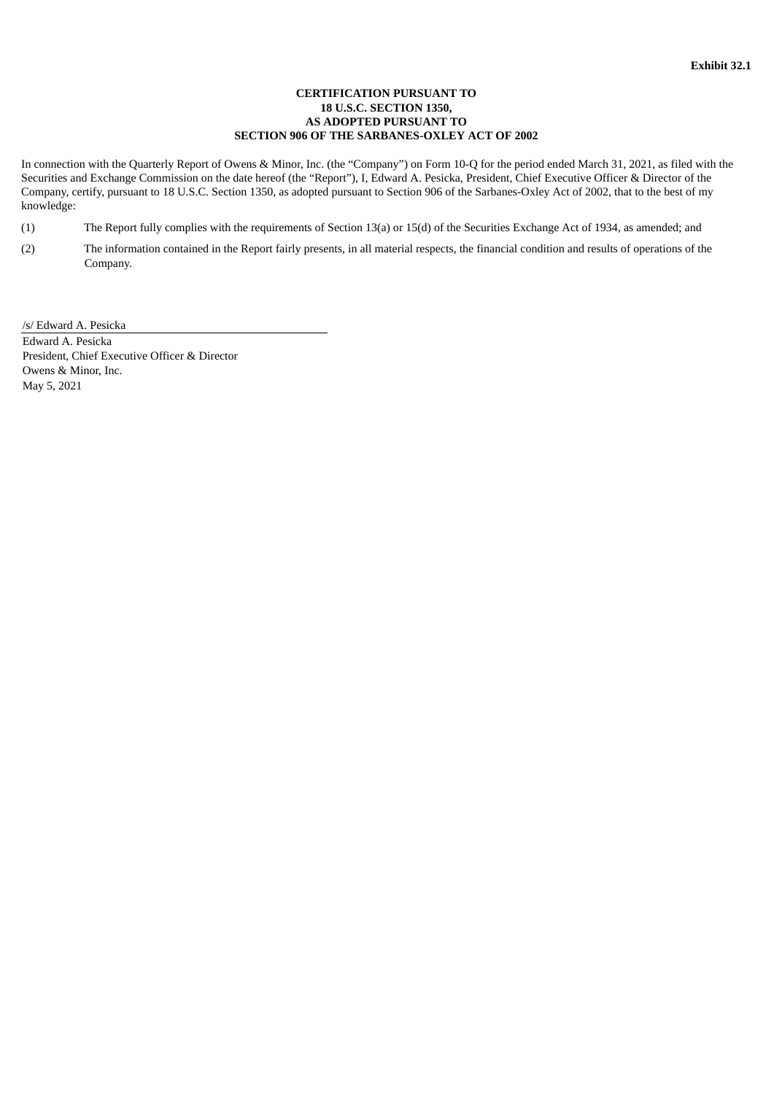# **CERTIFICATION PURSUANT TO 18 U.S.C. SECTION 1350, AS ADOPTED PURSUANT TO SECTION 906 OF THE SARBANES-OXLEY ACT OF 2002**

<span id="page-32-0"></span>In connection with the Quarterly Report of Owens & Minor, Inc. (the "Company") on Form 10-Q for the period ended March 31, 2021, as filed with the Securities and Exchange Commission on the date hereof (the "Report"), I, Edward A. Pesicka, President, Chief Executive Officer & Director of the Company, certify, pursuant to 18 U.S.C. Section 1350, as adopted pursuant to Section 906 of the Sarbanes-Oxley Act of 2002, that to the best of my knowledge:

- (1) The Report fully complies with the requirements of Section 13(a) or 15(d) of the Securities Exchange Act of 1934, as amended; and
- (2) The information contained in the Report fairly presents, in all material respects, the financial condition and results of operations of the Company.

/s/ Edward A. Pesicka

Edward A. Pesicka President, Chief Executive Officer & Director Owens & Minor, Inc. May 5, 2021